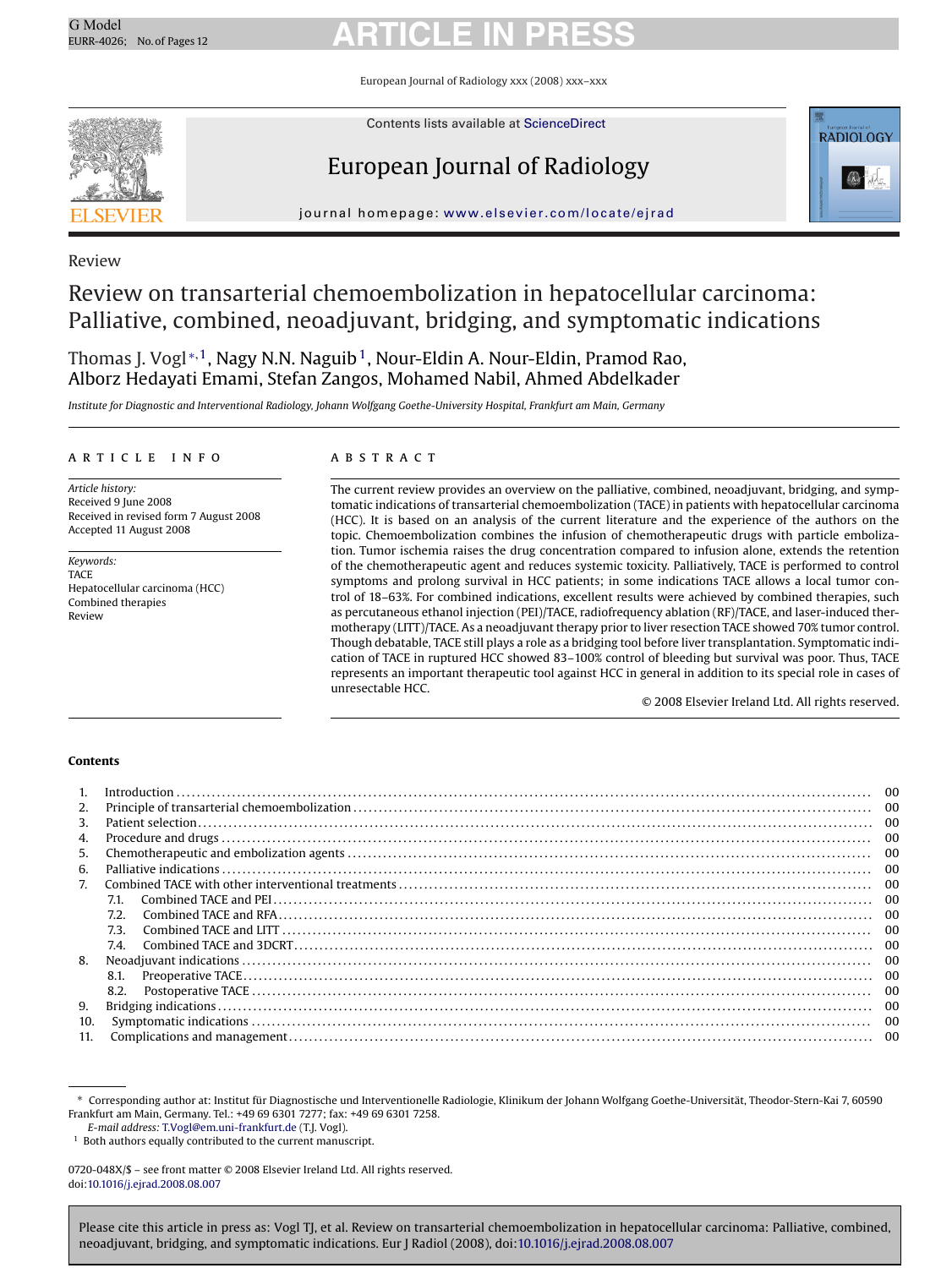European Journal of Radiology xxx (2008) xxx–xxx



Contents lists available at [ScienceDirect](http://www.sciencedirect.com/science/journal/0720048X)

### European Journal of Radiology



journal homepage: [www.elsevier.com/locate/ejrad](http://www.elsevier.com/locate/ejrad)

### Review

### Review on transarterial chemoembolization in hepatocellular carcinoma: Palliative, combined, neoadjuvant, bridging, and symptomatic indications

Thomas J. Vogl<sup>\*,1</sup>, Nagy N.N. Naguib<sup>1</sup>, Nour-Eldin A. Nour-Eldin, Pramod Rao, Alborz Hedayati Emami, Stefan Zangos, Mohamed Nabil, Ahmed Abdelkader

*Institute for Diagnostic and Interventional Radiology, Johann Wolfgang Goethe-University Hospital, Frankfurt am Main, Germany*

#### article info

*Article history:* Received 9 June 2008 Received in revised form 7 August 2008 Accepted 11 August 2008

*Keywords:* TACE Hepatocellular carcinoma (HCC) Combined therapies Review

### **ABSTRACT**

The current review provides an overview on the palliative, combined, neoadjuvant, bridging, and symptomatic indications of transarterial chemoembolization (TACE) in patients with hepatocellular carcinoma (HCC). It is based on an analysis of the current literature and the experience of the authors on the topic. Chemoembolization combines the infusion of chemotherapeutic drugs with particle embolization. Tumor ischemia raises the drug concentration compared to infusion alone, extends the retention of the chemotherapeutic agent and reduces systemic toxicity. Palliatively, TACE is performed to control symptoms and prolong survival in HCC patients; in some indications TACE allows a local tumor control of 18–63%. For combined indications, excellent results were achieved by combined therapies, such as percutaneous ethanol injection (PEI)/TACE, radiofrequency ablation (RF)/TACE, and laser-induced thermotherapy (LITT)/TACE. As a neoadjuvant therapy prior to liver resection TACE showed 70% tumor control. Though debatable, TACE still plays a role as a bridging tool before liver transplantation. Symptomatic indication of TACE in ruptured HCC showed 83–100% control of bleeding but survival was poor. Thus, TACE represents an important therapeutic tool against HCC in general in addition to its special role in cases of unresectable HCC.

© 2008 Elsevier Ireland Ltd. All rights reserved.

#### **Contents**

|     |                | -00            |  |  |  |  |  |  |  |
|-----|----------------|----------------|--|--|--|--|--|--|--|
|     |                |                |  |  |  |  |  |  |  |
| 2.  | -00            |                |  |  |  |  |  |  |  |
| 3.  |                | -00            |  |  |  |  |  |  |  |
| 4.  |                | 0 <sub>0</sub> |  |  |  |  |  |  |  |
| 5.  |                | 00             |  |  |  |  |  |  |  |
| 6.  |                | 0 <sub>0</sub> |  |  |  |  |  |  |  |
| 7.  |                | -00            |  |  |  |  |  |  |  |
|     | 7.1.           | -00            |  |  |  |  |  |  |  |
|     | 7.2.           | 0 <sub>0</sub> |  |  |  |  |  |  |  |
|     | 73.            | 0 <sub>0</sub> |  |  |  |  |  |  |  |
|     | 7.4            | 0 <sub>0</sub> |  |  |  |  |  |  |  |
| 8.  |                | -00            |  |  |  |  |  |  |  |
|     | 8.1.           |                |  |  |  |  |  |  |  |
|     | 8.2.           | 0 <sub>0</sub> |  |  |  |  |  |  |  |
| 9.  |                | 00             |  |  |  |  |  |  |  |
| 10. | -00            |                |  |  |  |  |  |  |  |
| 11. | 0 <sub>0</sub> |                |  |  |  |  |  |  |  |

<sup>∗</sup> Corresponding author at: Institut für Diagnostische und Interventionelle Radiologie, Klinikum der Johann Wolfgang Goethe-Universität, Theodor-Stern-Kai 7, 60590 Frankfurt am Main, Germany. Tel.: +49 69 6301 7277; fax: +49 69 6301 7258.

*E-mail address:* [T.Vogl@em.uni-frankfurt.de](mailto:T.Vogl@em.uni-frankfurt.de) (T.J. Vogl).

<sup>&</sup>lt;sup>1</sup> Both authors equally contributed to the current manuscript.

<sup>0720-048</sup>X/\$ – see front matter © 2008 Elsevier Ireland Ltd. All rights reserved. doi:[10.1016/j.ejrad.2008.08.007](dx.doi.org/10.1016/j.ejrad.2008.08.007)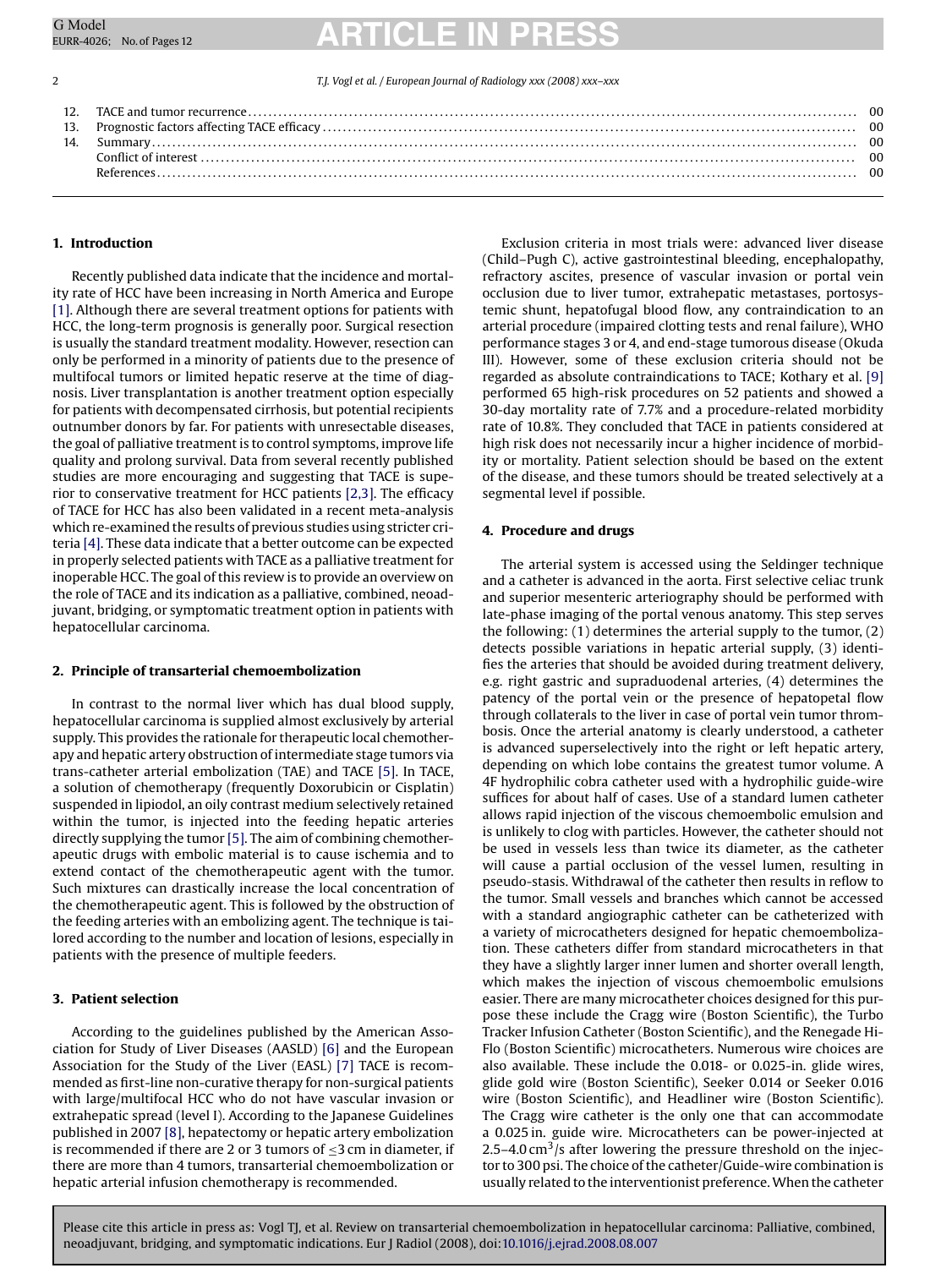2 *T.J. Vogl et al. / European Journal of Radiology xxx (2008) xxx–xxx*

### **1. Introduction**

Recently published data indicate that the incidence and mortality rate of HCC have been increasing in North America and Europe [\[1\]. A](#page-10-0)lthough there are several treatment options for patients with HCC, the long-term prognosis is generally poor. Surgical resection is usually the standard treatment modality. However, resection can only be performed in a minority of patients due to the presence of multifocal tumors or limited hepatic reserve at the time of diagnosis. Liver transplantation is another treatment option especially for patients with decompensated cirrhosis, but potential recipients outnumber donors by far. For patients with unresectable diseases, the goal of palliative treatment is to control symptoms, improve life quality and prolong survival. Data from several recently published studies are more encouraging and suggesting that TACE is superior to conservative treatment for HCC patients [\[2,3\]. T](#page-10-0)he efficacy of TACE for HCC has also been validated in a recent meta-analysis which re-examined the results of previous studies using stricter criteria [\[4\]. T](#page-10-0)hese data indicate that a better outcome can be expected in properly selected patients with TACE as a palliative treatment for inoperable HCC. The goal of this review is to provide an overview on the role of TACE and its indication as a palliative, combined, neoadjuvant, bridging, or symptomatic treatment option in patients with hepatocellular carcinoma.

#### **2. Principle of transarterial chemoembolization**

In contrast to the normal liver which has dual blood supply, hepatocellular carcinoma is supplied almost exclusively by arterial supply. This provides the rationale for therapeutic local chemotherapy and hepatic artery obstruction of intermediate stage tumors via trans-catheter arterial embolization (TAE) and TACE [\[5\].](#page-10-0) In TACE, a solution of chemotherapy (frequently Doxorubicin or Cisplatin) suspended in lipiodol, an oily contrast medium selectively retained within the tumor, is injected into the feeding hepatic arteries directly supplying the tumor [\[5\]. T](#page-10-0)he aim of combining chemotherapeutic drugs with embolic material is to cause ischemia and to extend contact of the chemotherapeutic agent with the tumor. Such mixtures can drastically increase the local concentration of the chemotherapeutic agent. This is followed by the obstruction of the feeding arteries with an embolizing agent. The technique is tailored according to the number and location of lesions, especially in patients with the presence of multiple feeders.

### **3. Patient selection**

According to the guidelines published by the American Association for Study of Liver Diseases (AASLD) [\[6\]](#page-10-0) and the European Association for the Study of the Liver (EASL) [\[7\]](#page-10-0) TACE is recommended as first-line non-curative therapy for non-surgical patients with large/multifocal HCC who do not have vascular invasion or extrahepatic spread (level I). According to the Japanese Guidelines published in 2007 [\[8\], h](#page-10-0)epatectomy or hepatic artery embolization is recommended if there are 2 or 3 tumors of  $\leq$ 3 cm in diameter, if there are more than 4 tumors, transarterial chemoembolization or hepatic arterial infusion chemotherapy is recommended.

Exclusion criteria in most trials were: advanced liver disease (Child–Pugh C), active gastrointestinal bleeding, encephalopathy, refractory ascites, presence of vascular invasion or portal vein occlusion due to liver tumor, extrahepatic metastases, portosystemic shunt, hepatofugal blood flow, any contraindication to an arterial procedure (impaired clotting tests and renal failure), WHO performance stages 3 or 4, and end-stage tumorous disease (Okuda III). However, some of these exclusion criteria should not be regarded as absolute contraindications to TACE; Kothary et al. [\[9\]](#page-10-0) performed 65 high-risk procedures on 52 patients and showed a 30-day mortality rate of 7.7% and a procedure-related morbidity rate of 10.8%. They concluded that TACE in patients considered at high risk does not necessarily incur a higher incidence of morbidity or mortality. Patient selection should be based on the extent of the disease, and these tumors should be treated selectively at a segmental level if possible.

#### **4. Procedure and drugs**

The arterial system is accessed using the Seldinger technique and a catheter is advanced in the aorta. First selective celiac trunk and superior mesenteric arteriography should be performed with late-phase imaging of the portal venous anatomy. This step serves the following: (1) determines the arterial supply to the tumor, (2) detects possible variations in hepatic arterial supply, (3) identifies the arteries that should be avoided during treatment delivery, e.g. right gastric and supraduodenal arteries, (4) determines the patency of the portal vein or the presence of hepatopetal flow through collaterals to the liver in case of portal vein tumor thrombosis. Once the arterial anatomy is clearly understood, a catheter is advanced superselectively into the right or left hepatic artery, depending on which lobe contains the greatest tumor volume. A 4F hydrophilic cobra catheter used with a hydrophilic guide-wire suffices for about half of cases. Use of a standard lumen catheter allows rapid injection of the viscous chemoembolic emulsion and is unlikely to clog with particles. However, the catheter should not be used in vessels less than twice its diameter, as the catheter will cause a partial occlusion of the vessel lumen, resulting in pseudo-stasis. Withdrawal of the catheter then results in reflow to the tumor. Small vessels and branches which cannot be accessed with a standard angiographic catheter can be catheterized with a variety of microcatheters designed for hepatic chemoembolization. These catheters differ from standard microcatheters in that they have a slightly larger inner lumen and shorter overall length, which makes the injection of viscous chemoembolic emulsions easier. There are many microcatheter choices designed for this purpose these include the Cragg wire (Boston Scientific), the Turbo Tracker Infusion Catheter (Boston Scientific), and the Renegade Hi-Flo (Boston Scientific) microcatheters. Numerous wire choices are also available. These include the 0.018- or 0.025-in. glide wires, glide gold wire (Boston Scientific), Seeker 0.014 or Seeker 0.016 wire (Boston Scientific), and Headliner wire (Boston Scientific). The Cragg wire catheter is the only one that can accommodate a 0.025 in. guide wire. Microcatheters can be power-injected at 2.5–4.0 cm<sup>3</sup>/s after lowering the pressure threshold on the injector to 300 psi. The choice of the catheter/Guide-wire combination is usually related to the interventionist preference.When the catheter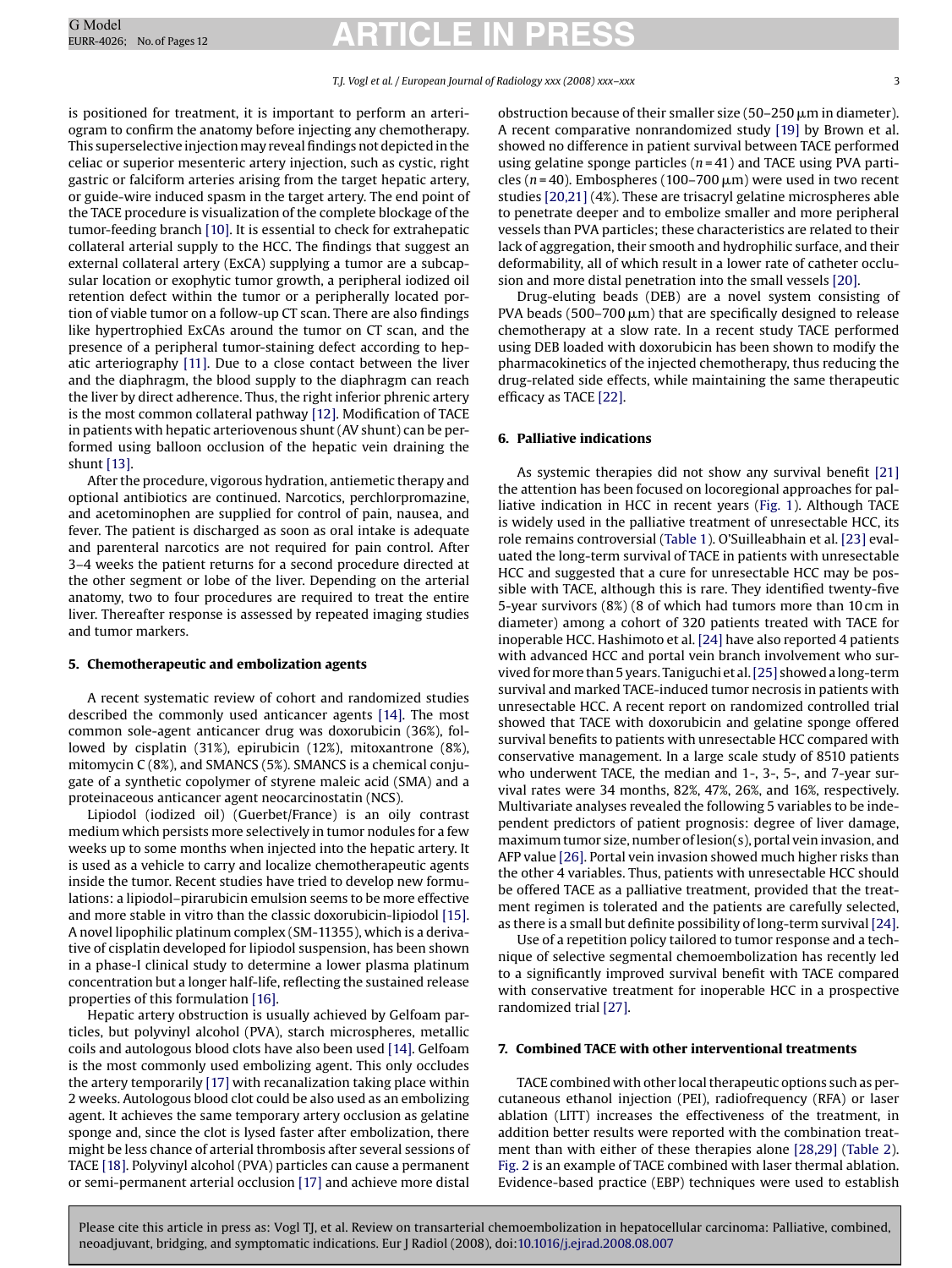is positioned for treatment, it is important to perform an arteriogram to confirm the anatomy before injecting any chemotherapy. This superselective injectionmay reveal findings not depicted in the celiac or superior mesenteric artery injection, such as cystic, right gastric or falciform arteries arising from the target hepatic artery, or guide-wire induced spasm in the target artery. The end point of the TACE procedure is visualization of the complete blockage of the tumor-feeding branch [\[10\]. I](#page-10-0)t is essential to check for extrahepatic collateral arterial supply to the HCC. The findings that suggest an external collateral artery (ExCA) supplying a tumor are a subcapsular location or exophytic tumor growth, a peripheral iodized oil retention defect within the tumor or a peripherally located portion of viable tumor on a follow-up CT scan. There are also findings like hypertrophied ExCAs around the tumor on CT scan, and the presence of a peripheral tumor-staining defect according to hepatic arteriography [\[11\]. D](#page-10-0)ue to a close contact between the liver and the diaphragm, the blood supply to the diaphragm can reach the liver by direct adherence. Thus, the right inferior phrenic artery is the most common collateral pathway [\[12\]. M](#page-10-0)odification of TACE in patients with hepatic arteriovenous shunt (AV shunt) can be performed using balloon occlusion of the hepatic vein draining the shunt [\[13\].](#page-10-0)

After the procedure, vigorous hydration, antiemetic therapy and optional antibiotics are continued. Narcotics, perchlorpromazine, and acetominophen are supplied for control of pain, nausea, and fever. The patient is discharged as soon as oral intake is adequate and parenteral narcotics are not required for pain control. After 3–4 weeks the patient returns for a second procedure directed at the other segment or lobe of the liver. Depending on the arterial anatomy, two to four procedures are required to treat the entire liver. Thereafter response is assessed by repeated imaging studies and tumor markers.

#### **5. Chemotherapeutic and embolization agents**

A recent systematic review of cohort and randomized studies described the commonly used anticancer agents [\[14\].](#page-10-0) The most common sole-agent anticancer drug was doxorubicin (36%), followed by cisplatin (31%), epirubicin (12%), mitoxantrone (8%), mitomycin C (8%), and SMANCS (5%). SMANCS is a chemical conjugate of a synthetic copolymer of styrene maleic acid (SMA) and a proteinaceous anticancer agent neocarcinostatin (NCS).

Lipiodol (iodized oil) (Guerbet/France) is an oily contrast medium which persists more selectively in tumor nodules for a few weeks up to some months when injected into the hepatic artery. It is used as a vehicle to carry and localize chemotherapeutic agents inside the tumor. Recent studies have tried to develop new formulations: a lipiodol–pirarubicin emulsion seems to be more effective and more stable in vitro than the classic doxorubicin-lipiodol [\[15\].](#page-10-0) A novel lipophilic platinum complex (SM-11355), which is a derivative of cisplatin developed for lipiodol suspension, has been shown in a phase-I clinical study to determine a lower plasma platinum concentration but a longer half-life, reflecting the sustained release properties of this formulation [\[16\].](#page-10-0)

Hepatic artery obstruction is usually achieved by Gelfoam particles, but polyvinyl alcohol (PVA), starch microspheres, metallic coils and autologous blood clots have also been used [\[14\]. G](#page-10-0)elfoam is the most commonly used embolizing agent. This only occludes the artery temporarily [\[17\]](#page-10-0) with recanalization taking place within 2 weeks. Autologous blood clot could be also used as an embolizing agent. It achieves the same temporary artery occlusion as gelatine sponge and, since the clot is lysed faster after embolization, there might be less chance of arterial thrombosis after several sessions of TACE [\[18\]. P](#page-10-0)olyvinyl alcohol (PVA) particles can cause a permanent or semi-permanent arterial occlusion [\[17\]](#page-10-0) and achieve more distal

obstruction because of their smaller size (50–250  $\mu$ m in diameter). A recent comparative nonrandomized study [\[19\]](#page-10-0) by Brown et al. showed no difference in patient survival between TACE performed using gelatine sponge particles (*n* = 41) and TACE using PVA particles (*n* = 40). Embospheres (100–700 μm) were used in two recent studies [\[20,21\]](#page-10-0) (4%). These are trisacryl gelatine microspheres able to penetrate deeper and to embolize smaller and more peripheral vessels than PVA particles; these characteristics are related to their lack of aggregation, their smooth and hydrophilic surface, and their deformability, all of which result in a lower rate of catheter occlusion and more distal penetration into the small vessels [\[20\].](#page-10-0)

Drug-eluting beads (DEB) are a novel system consisting of PVA beads (500–700  $\mu$ m) that are specifically designed to release chemotherapy at a slow rate. In a recent study TACE performed using DEB loaded with doxorubicin has been shown to modify the pharmacokinetics of the injected chemotherapy, thus reducing the drug-related side effects, while maintaining the same therapeutic efficacy as TACE [\[22\].](#page-10-0)

### **6. Palliative indications**

As systemic therapies did not show any survival benefit [\[21\]](#page-10-0) the attention has been focused on locoregional approaches for palliative indication in HCC in recent years [\(Fig. 1\).](#page-3-0) Although TACE is widely used in the palliative treatment of unresectable HCC, its role remains controversial ([Table 1\).](#page-3-0) O'Suilleabhain et al. [\[23\]](#page-10-0) evaluated the long-term survival of TACE in patients with unresectable HCC and suggested that a cure for unresectable HCC may be possible with TACE, although this is rare. They identified twenty-five 5-year survivors (8%) (8 of which had tumors more than 10 cm in diameter) among a cohort of 320 patients treated with TACE for inoperable HCC. Hashimoto et al. [\[24\]](#page-10-0) have also reported 4 patients with advanced HCC and portal vein branch involvement who survived formore than 5 years. Taniguchi et al.[\[25\]](#page-10-0) showed a long-term survival and marked TACE-induced tumor necrosis in patients with unresectable HCC. A recent report on randomized controlled trial showed that TACE with doxorubicin and gelatine sponge offered survival benefits to patients with unresectable HCC compared with conservative management. In a large scale study of 8510 patients who underwent TACE, the median and 1-, 3-, 5-, and 7-year survival rates were 34 months, 82%, 47%, 26%, and 16%, respectively. Multivariate analyses revealed the following 5 variables to be independent predictors of patient prognosis: degree of liver damage, maximum tumor size, number of lesion(s), portal vein invasion, and AFP value [\[26\]. P](#page-10-0)ortal vein invasion showed much higher risks than the other 4 variables. Thus, patients with unresectable HCC should be offered TACE as a palliative treatment, provided that the treatment regimen is tolerated and the patients are carefully selected, as there is a small but definite possibility of long-term survival [\[24\].](#page-10-0)

Use of a repetition policy tailored to tumor response and a technique of selective segmental chemoembolization has recently led to a significantly improved survival benefit with TACE compared with conservative treatment for inoperable HCC in a prospective randomized trial [\[27\].](#page-10-0)

#### **7. Combined TACE with other interventional treatments**

TACE combined with other local therapeutic options such as percutaneous ethanol injection (PEI), radiofrequency (RFA) or laser ablation (LITT) increases the effectiveness of the treatment, in addition better results were reported with the combination treatment than with either of these therapies alone [\[28,29\]](#page-10-0) [\(Table 2\).](#page-3-0) [Fig. 2](#page-4-0) is an example of TACE combined with laser thermal ablation. Evidence-based practice (EBP) techniques were used to establish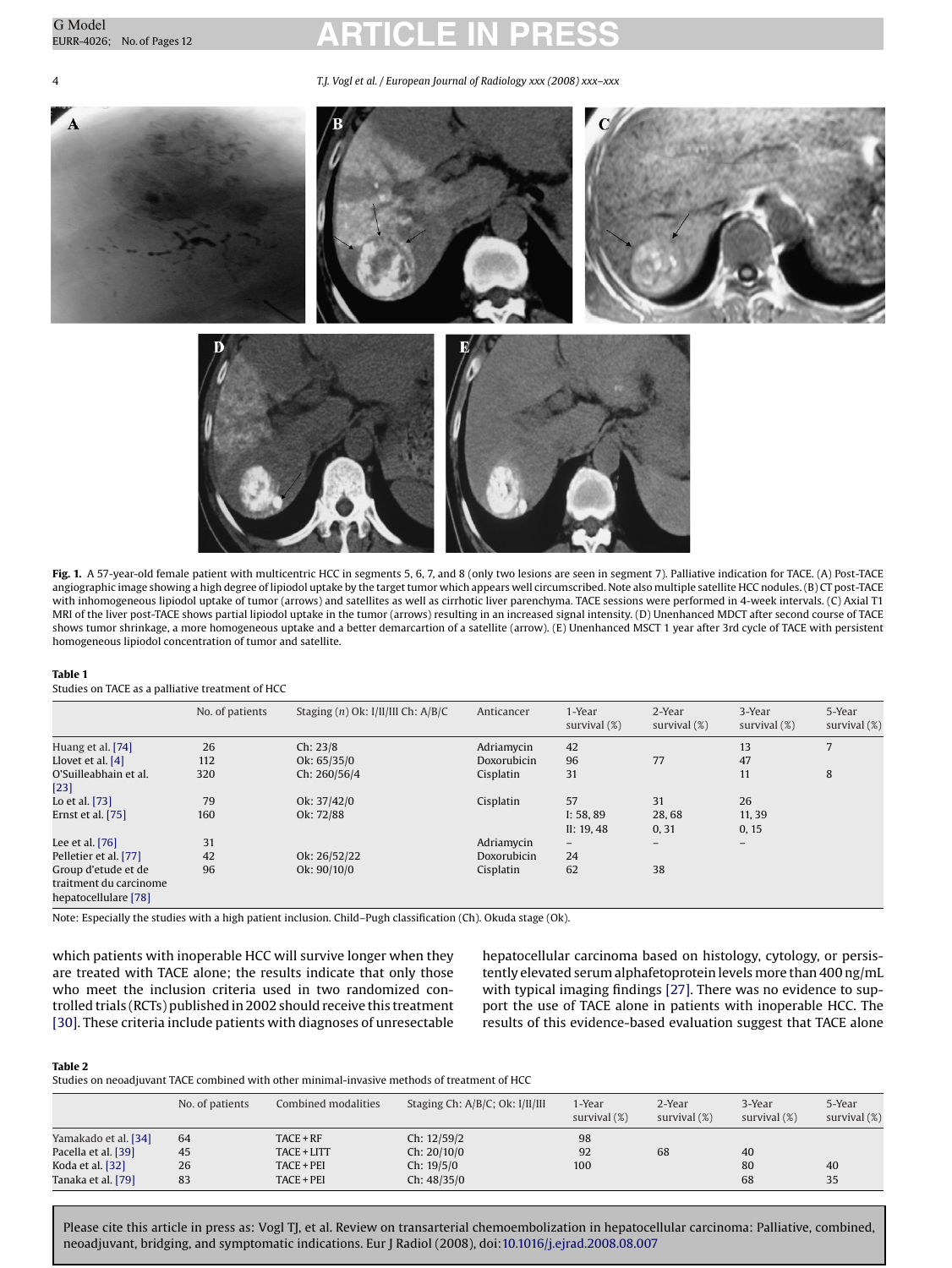<span id="page-3-0"></span>4 *T.J. Vogl et al. / European Journal of Radiology xxx (2008) xxx–xxx*



Fig. 1. A 57-year-old female patient with multicentric HCC in segments 5, 6, 7, and 8 (only two lesions are seen in segment 7). Palliative indication for TACE. (A) Post-TACE angiographic image showing a high degree of lipiodol uptake by the target tumor which appears well circumscribed. Note also multiple satellite HCC nodules. (B) CT post-TACE with inhomogeneous lipiodol uptake of tumor (arrows) and satellites as well as cirrhotic liver parenchyma. TACE sessions were performed in 4-week intervals. (C) Axial T1 MRI of the liver post-TACE shows partial lipiodol uptake in the tumor (arrows) resulting in an increased signal intensity. (D) Unenhanced MDCT after second course of TACE shows tumor shrinkage, a more homogeneous uptake and a better demarcartion of a satellite (arrow). (E) Unenhanced MSCT 1 year after 3rd cycle of TACE with persistent homogeneous lipiodol concentration of tumor and satellite.

#### **Table 1**

Studies on TACE as a palliative treatment of HCC

|                                                                       | No. of patients | Staging $(n)$ Ok: I/II/III Ch: A/B/C | Anticancer  | 1-Year<br>survival $(\%)$ | 2-Year<br>survival (%) | 3-Year<br>survival $(\%)$ | 5-Year<br>survival $(\%)$ |
|-----------------------------------------------------------------------|-----------------|--------------------------------------|-------------|---------------------------|------------------------|---------------------------|---------------------------|
| Huang et al. [74]                                                     | 26              | Ch: 23/8                             | Adriamycin  | 42                        |                        | 13                        | 7                         |
| Llovet et al. [4]                                                     | 112             | Ok: 65/35/0                          | Doxorubicin | 96                        | 77                     | 47                        |                           |
| O'Suilleabhain et al.<br>$[23]$                                       | 320             | Ch: 260/56/4                         | Cisplatin   | 31                        |                        | 11                        | 8                         |
| Lo et al. [73]                                                        | 79              | Ok: 37/42/0                          | Cisplatin   | 57                        | 31                     | 26                        |                           |
| Ernst et al. [75]                                                     | 160             | Ok: 72/88                            |             | I: 58, 89<br>II: 19, 48   | 28,68<br>0, 31         | 11, 39<br>0, 15           |                           |
| Lee et al. [76]                                                       | 31              |                                      | Adriamycin  | $\overline{\phantom{m}}$  | $-$                    | $-$                       |                           |
| Pelletier et al. [77]                                                 | 42              | Ok: 26/52/22                         | Doxorubicin | 24                        |                        |                           |                           |
| Group d'etude et de<br>traitment du carcinome<br>hepatocellulare [78] | 96              | Ok: 90/10/0                          | Cisplatin   | 62                        | 38                     |                           |                           |

Note: Especially the studies with a high patient inclusion. Child–Pugh classification (Ch). Okuda stage (Ok).

which patients with inoperable HCC will survive longer when they are treated with TACE alone; the results indicate that only those who meet the inclusion criteria used in two randomized controlled trials (RCTs) published in 2002 should receive this treatment [\[30\]. T](#page-10-0)hese criteria include patients with diagnoses of unresectable hepatocellular carcinoma based on histology, cytology, or persistently elevated serum alphafetoprotein levels more than 400 ng/mL with typical imaging findings [\[27\]. T](#page-10-0)here was no evidence to support the use of TACE alone in patients with inoperable HCC. The results of this evidence-based evaluation suggest that TACE alone

#### **Table 2**

Studies on neoadjuvant TACE combined with other minimal-invasive methods of treatment of HCC

|                      | No. of patients | Combined modalities | Staging Ch: A/B/C; Ok: I/II/III | 1-Year<br>survival (%) | 2-Year<br>survival $(\%)$ | 3-Year<br>survival $(\%)$ | 5-Year<br>survival $(\%)$ |
|----------------------|-----------------|---------------------|---------------------------------|------------------------|---------------------------|---------------------------|---------------------------|
| Yamakado et al. [34] | 64              | $TACE + RF$         | Ch: 12/59/2                     | 98                     |                           |                           |                           |
| Pacella et al. [39]  | 45              | TACE + LITT         | Ch: 20/10/0                     | 92                     | 68                        | 40                        |                           |
| Koda et al. [32]     | 26              | TACE + PEI          | Ch: 19/5/0                      | 100                    |                           | 80                        | 40                        |
| Tanaka et al. [79]   | 83              | TACE + PEI          | Ch: 48/35/0                     |                        |                           | 68                        | 35                        |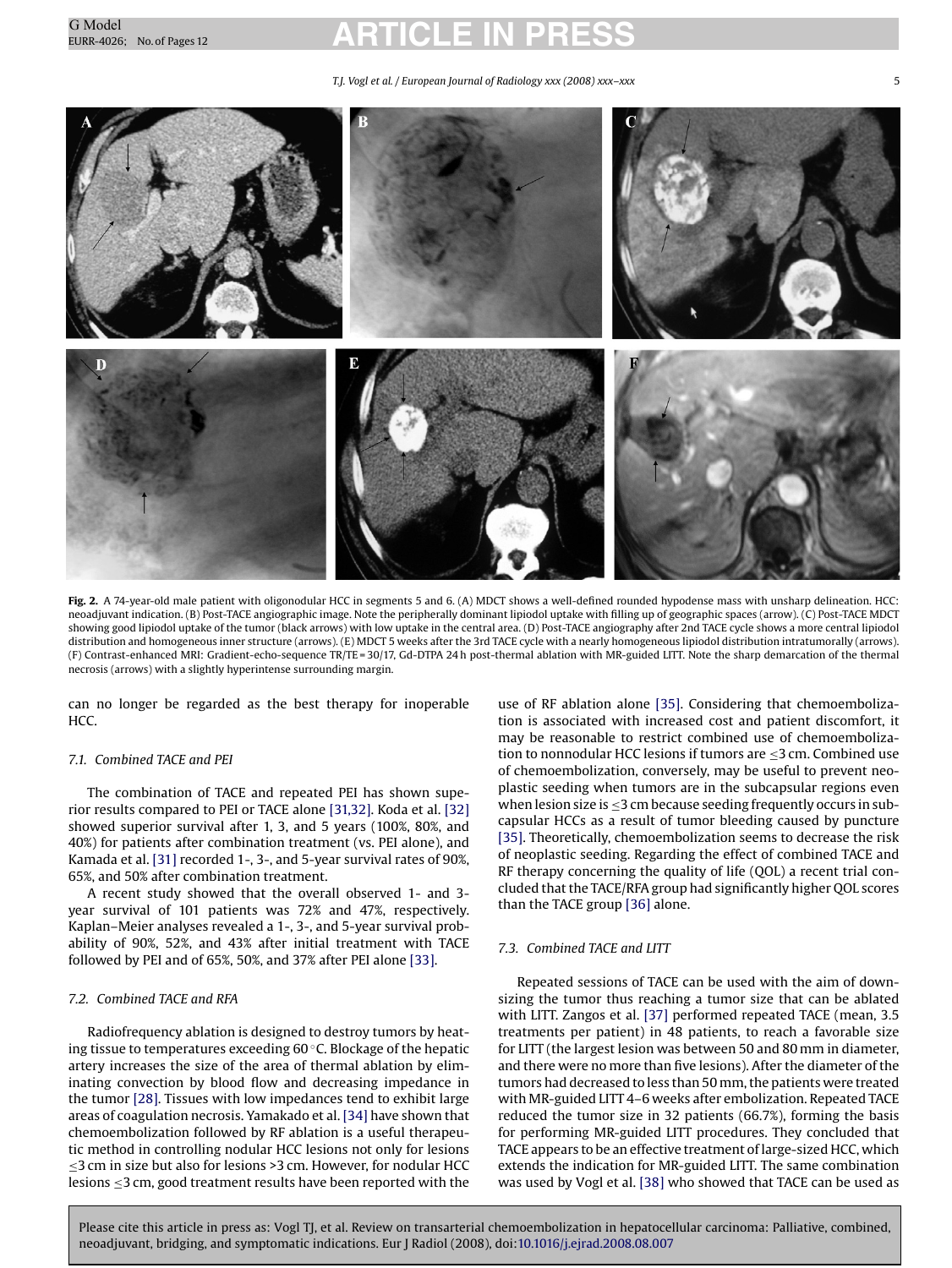*T.J. Vogl et al. / European Journal of Radiology xxx (2008) xxx–xxx* 5

<span id="page-4-0"></span>

**Fig. 2.** A 74-year-old male patient with oligonodular HCC in segments 5 and 6. (A) MDCT shows a well-defined rounded hypodense mass with unsharp delineation. HCC: neoadjuvant indication. (B) Post-TACE angiographic image. Note the peripherally dominant lipiodol uptake with filling up of geographic spaces (arrow). (C) Post-TACE MDCT showing good lipiodol uptake of the tumor (black arrows) with low uptake in the central area. (D) Post-TACE angiography after 2nd TACE cycle shows a more central lipiodol distribution and homogeneous inner structure (arrows). (E) MDCT 5 weeks after the 3rd TACE cycle with a nearly homogeneous lipiodol distribution intratumorally (arrows). (F) Contrast-enhanced MRI: Gradient-echo-sequence TR/TE = 30/17, Gd-DTPA 24 h post-thermal ablation with MR-guided LITT. Note the sharp demarcation of the thermal necrosis (arrows) with a slightly hyperintense surrounding margin.

can no longer be regarded as the best therapy for inoperable HCC.

#### *7.1. Combined TACE and PEI*

The combination of TACE and repeated PEI has shown superior results compared to PEI or TACE alone [\[31,32\]. K](#page-10-0)oda et al. [\[32\]](#page-10-0) showed superior survival after 1, 3, and 5 years (100%, 80%, and 40%) for patients after combination treatment (vs. PEI alone), and Kamada et al. [\[31\]](#page-10-0) recorded 1-, 3-, and 5-year survival rates of 90%, 65%, and 50% after combination treatment.

A recent study showed that the overall observed 1- and 3 year survival of 101 patients was 72% and 47%, respectively. Kaplan–Meier analyses revealed a 1-, 3-, and 5-year survival probability of 90%, 52%, and 43% after initial treatment with TACE followed by PEI and of 65%, 50%, and 37% after PEI alone [\[33\].](#page-10-0)

### *7.2. Combined TACE and RFA*

Radiofrequency ablation is designed to destroy tumors by heating tissue to temperatures exceeding 60 ◦C. Blockage of the hepatic artery increases the size of the area of thermal ablation by eliminating convection by blood flow and decreasing impedance in the tumor [\[28\]. T](#page-10-0)issues with low impedances tend to exhibit large areas of coagulation necrosis. Yamakado et al. [\[34\]](#page-10-0) have shown that chemoembolization followed by RF ablation is a useful therapeutic method in controlling nodular HCC lesions not only for lesions ≤3 cm in size but also for lesions >3 cm. However, for nodular HCC lesions ≤3 cm, good treatment results have been reported with the use of RF ablation alone [\[35\].](#page-10-0) Considering that chemoembolization is associated with increased cost and patient discomfort, it may be reasonable to restrict combined use of chemoembolization to nonnodular HCC lesions if tumors are  $\leq$ 3 cm. Combined use of chemoembolization, conversely, may be useful to prevent neoplastic seeding when tumors are in the subcapsular regions even when lesion size is  $\leq$ 3 cm because seeding frequently occurs in subcapsular HCCs as a result of tumor bleeding caused by puncture [\[35\]. T](#page-10-0)heoretically, chemoembolization seems to decrease the risk of neoplastic seeding. Regarding the effect of combined TACE and RF therapy concerning the quality of life (QOL) a recent trial concluded that the TACE/RFA group had significantly higher QOL scores than the TACE group [\[36\]](#page-10-0) alone.

#### *7.3. Combined TACE and LITT*

Repeated sessions of TACE can be used with the aim of downsizing the tumor thus reaching a tumor size that can be ablated with LITT. Zangos et al. [\[37\]](#page-10-0) performed repeated TACE (mean, 3.5 treatments per patient) in 48 patients, to reach a favorable size for LITT (the largest lesion was between 50 and 80 mm in diameter, and there were no more than five lesions). After the diameter of the tumors had decreased to less than 50 mm, the patients were treated with MR-guided LITT 4–6 weeks after embolization. Repeated TACE reduced the tumor size in 32 patients (66.7%), forming the basis for performing MR-guided LITT procedures. They concluded that TACE appears to be an effective treatment of large-sized HCC, which extends the indication for MR-guided LITT. The same combination was used by Vogl et al. [\[38\]](#page-10-0) who showed that TACE can be used as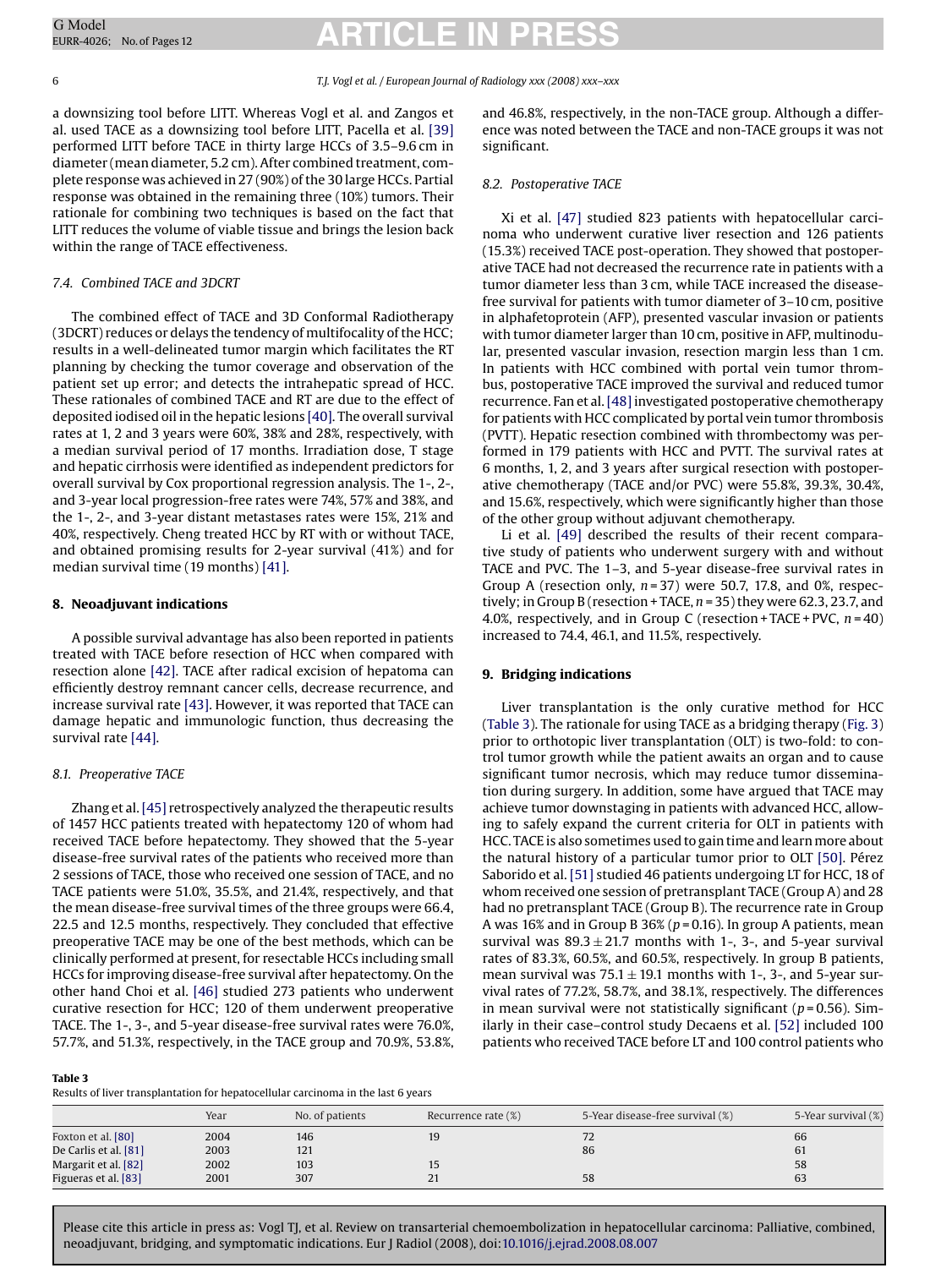#### 6 *T.J. Vogl et al. / European Journal of Radiology xxx (2008) xxx–xxx*

a downsizing tool before LITT. Whereas Vogl et al. and Zangos et al. used TACE as a downsizing tool before LITT, Pacella et al. [\[39\]](#page-10-0) performed LITT before TACE in thirty large HCCs of 3.5–9.6 cm in diameter (mean diameter, 5.2 cm). After combined treatment, complete response was achieved in 27 (90%) of the 30 large HCCs. Partial response was obtained in the remaining three (10%) tumors. Their rationale for combining two techniques is based on the fact that LITT reduces the volume of viable tissue and brings the lesion back within the range of TACE effectiveness.

#### *7.4. Combined TACE and 3DCRT*

The combined effect of TACE and 3D Conformal Radiotherapy (3DCRT) reduces or delays the tendency of multifocality of the HCC; results in a well-delineated tumor margin which facilitates the RT planning by checking the tumor coverage and observation of the patient set up error; and detects the intrahepatic spread of HCC. These rationales of combined TACE and RT are due to the effect of deposited iodised oil in the hepatic lesions [\[40\]. T](#page-10-0)he overall survival rates at 1, 2 and 3 years were 60%, 38% and 28%, respectively, with a median survival period of 17 months. Irradiation dose, T stage and hepatic cirrhosis were identified as independent predictors for overall survival by Cox proportional regression analysis. The 1-, 2-, and 3-year local progression-free rates were 74%, 57% and 38%, and the 1-, 2-, and 3-year distant metastases rates were 15%, 21% and 40%, respectively. Cheng treated HCC by RT with or without TACE, and obtained promising results for 2-year survival (41%) and for median survival time (19 months) [\[41\].](#page-10-0)

#### **8. Neoadjuvant indications**

A possible survival advantage has also been reported in patients treated with TACE before resection of HCC when compared with resection alone [\[42\]. T](#page-10-0)ACE after radical excision of hepatoma can efficiently destroy remnant cancer cells, decrease recurrence, and increase survival rate [\[43\]. H](#page-10-0)owever, it was reported that TACE can damage hepatic and immunologic function, thus decreasing the survival rate [\[44\].](#page-10-0)

#### *8.1. Preoperative TACE*

Zhang et al.[\[45\]](#page-10-0) retrospectively analyzed the therapeutic results of 1457 HCC patients treated with hepatectomy 120 of whom had received TACE before hepatectomy. They showed that the 5-year disease-free survival rates of the patients who received more than 2 sessions of TACE, those who received one session of TACE, and no TACE patients were 51.0%, 35.5%, and 21.4%, respectively, and that the mean disease-free survival times of the three groups were 66.4, 22.5 and 12.5 months, respectively. They concluded that effective preoperative TACE may be one of the best methods, which can be clinically performed at present, for resectable HCCs including small HCCs for improving disease-free survival after hepatectomy. On the other hand Choi et al. [\[46\]](#page-10-0) studied 273 patients who underwent curative resection for HCC; 120 of them underwent preoperative TACE. The 1-, 3-, and 5-year disease-free survival rates were 76.0%, 57.7%, and 51.3%, respectively, in the TACE group and 70.9%, 53.8%,

#### **Table 3**

Results of liver transplantation for hepatocellular carcinoma in the last 6 years

and 46.8%, respectively, in the non-TACE group. Although a difference was noted between the TACE and non-TACE groups it was not significant.

#### *8.2. Postoperative TACE*

Xi et al. [\[47\]](#page-10-0) studied 823 patients with hepatocellular carcinoma who underwent curative liver resection and 126 patients (15.3%) received TACE post-operation. They showed that postoperative TACE had not decreased the recurrence rate in patients with a tumor diameter less than 3 cm, while TACE increased the diseasefree survival for patients with tumor diameter of 3–10 cm, positive in alphafetoprotein (AFP), presented vascular invasion or patients with tumor diameter larger than 10 cm, positive in AFP, multinodular, presented vascular invasion, resection margin less than 1 cm. In patients with HCC combined with portal vein tumor thrombus, postoperative TACE improved the survival and reduced tumor recurrence. Fan et al.[\[48\]in](#page-11-0)vestigated postoperative chemotherapy for patients with HCC complicated by portal vein tumor thrombosis (PVTT). Hepatic resection combined with thrombectomy was performed in 179 patients with HCC and PVTT. The survival rates at 6 months, 1, 2, and 3 years after surgical resection with postoperative chemotherapy (TACE and/or PVC) were 55.8%, 39.3%, 30.4%, and 15.6%, respectively, which were significantly higher than those of the other group without adjuvant chemotherapy.

Li et al. [\[49\]](#page-11-0) described the results of their recent comparative study of patients who underwent surgery with and without TACE and PVC. The 1–3, and 5-year disease-free survival rates in Group A (resection only, *n* = 37) were 50.7, 17.8, and 0%, respectively; in Group B (resection + TACE, *n* = 35) they were 62.3, 23.7, and 4.0%, respectively, and in Group C (resection + TACE + PVC, *n* = 40) increased to 74.4, 46.1, and 11.5%, respectively.

#### **9. Bridging indications**

Liver transplantation is the only curative method for HCC (Table 3). The rationale for using TACE as a bridging therapy [\(Fig. 3\)](#page-6-0) prior to orthotopic liver transplantation (OLT) is two-fold: to control tumor growth while the patient awaits an organ and to cause significant tumor necrosis, which may reduce tumor dissemination during surgery. In addition, some have argued that TACE may achieve tumor downstaging in patients with advanced HCC, allowing to safely expand the current criteria for OLT in patients with HCC. TACE is also sometimes used to gain time and learn more about the natural history of a particular tumor prior to OLT [\[50\].](#page-11-0) Pérez Saborido et al. [\[51\]](#page-11-0) studied 46 patients undergoing LT for HCC, 18 of whom received one session of pretransplant TACE (Group A) and 28 had no pretransplant TACE (Group B). The recurrence rate in Group A was 16% and in Group B 36% (*p* = 0.16). In group A patients, mean survival was  $89.3 \pm 21.7$  months with 1-, 3-, and 5-year survival rates of 83.3%, 60.5%, and 60.5%, respectively. In group B patients, mean survival was  $75.1 \pm 19.1$  months with 1-, 3-, and 5-year survival rates of 77.2%, 58.7%, and 38.1%, respectively. The differences in mean survival were not statistically significant  $(p=0.56)$ . Similarly in their case–control study Decaens et al. [\[52\]](#page-11-0) included 100 patients who received TACE before LT and 100 control patients who

|                       | Year | No. of patients | Recurrence rate $(\%)$ | 5-Year disease-free survival (%) | 5-Year survival (%) |
|-----------------------|------|-----------------|------------------------|----------------------------------|---------------------|
| Foxton et al. [80]    | 2004 | 146             | 19                     | 72                               | 66                  |
| De Carlis et al. [81] | 2003 | 121             |                        | 86                               | 61                  |
| Margarit et al. [82]  | 2002 | 103             | IЭ                     |                                  | 58                  |
| Figueras et al. [83]  | 2001 | 307             | 21                     | 58                               | 63                  |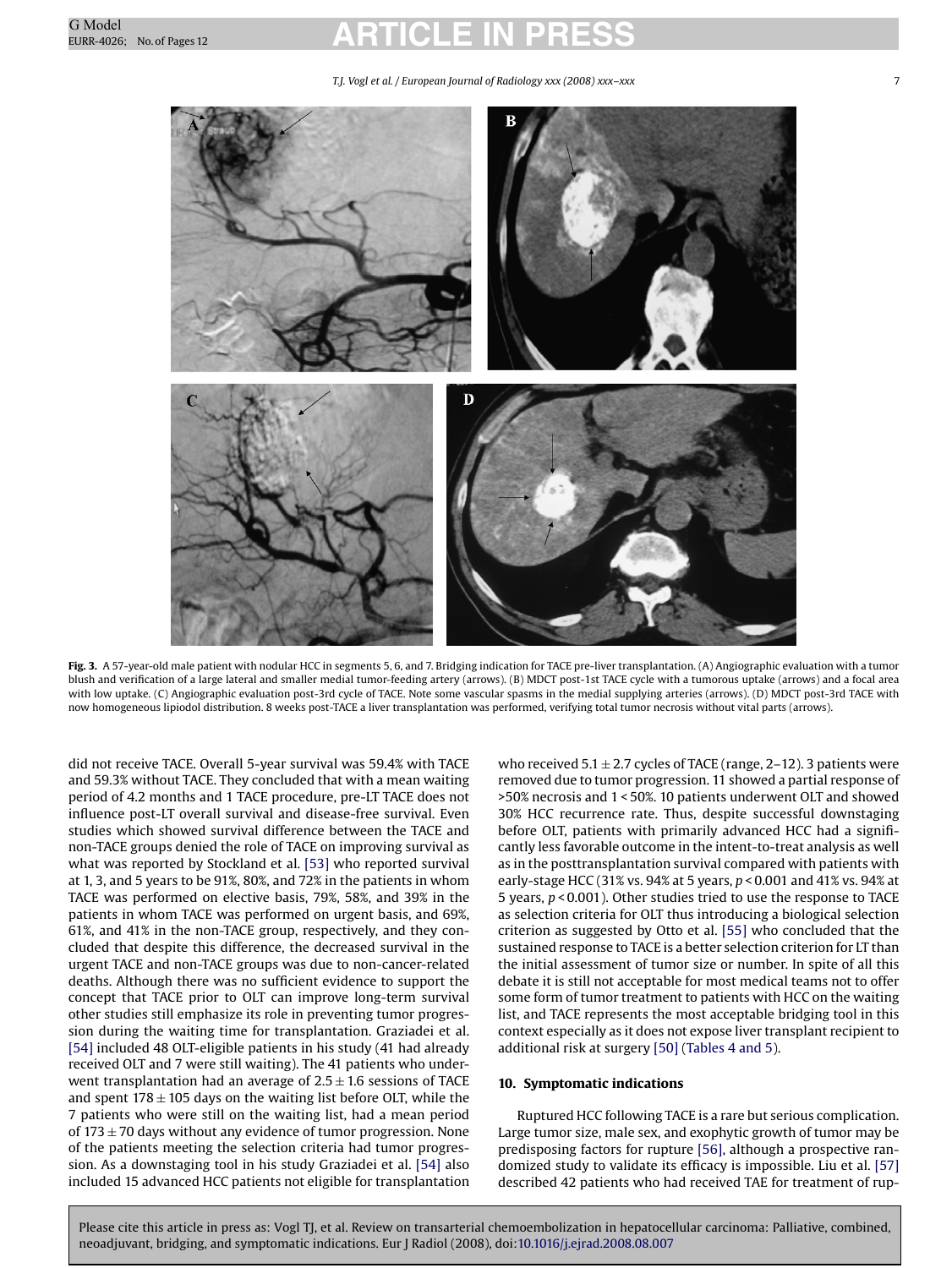*T.J. Vogl et al. / European Journal of Radiology xxx (2008) xxx–xxx* 7

<span id="page-6-0"></span>

**Fig. 3.** A 57-year-old male patient with nodular HCC in segments 5, 6, and 7. Bridging indication for TACE pre-liver transplantation. (A) Angiographic evaluation with a tumor blush and verification of a large lateral and smaller medial tumor-feeding artery (arrows). (B) MDCT post-1st TACE cycle with a tumorous uptake (arrows) and a focal area with low uptake. (C) Angiographic evaluation post-3rd cycle of TACE. Note some vascular spasms in the medial supplying arteries (arrows). (D) MDCT post-3rd TACE with now homogeneous lipiodol distribution. 8 weeks post-TACE a liver transplantation was performed, verifying total tumor necrosis without vital parts (arrows).

did not receive TACE. Overall 5-year survival was 59.4% with TACE and 59.3% without TACE. They concluded that with a mean waiting period of 4.2 months and 1 TACE procedure, pre-LT TACE does not influence post-LT overall survival and disease-free survival. Even studies which showed survival difference between the TACE and non-TACE groups denied the role of TACE on improving survival as what was reported by Stockland et al. [\[53\]](#page-11-0) who reported survival at 1, 3, and 5 years to be 91%, 80%, and 72% in the patients in whom TACE was performed on elective basis, 79%, 58%, and 39% in the patients in whom TACE was performed on urgent basis, and 69%, 61%, and 41% in the non-TACE group, respectively, and they concluded that despite this difference, the decreased survival in the urgent TACE and non-TACE groups was due to non-cancer-related deaths. Although there was no sufficient evidence to support the concept that TACE prior to OLT can improve long-term survival other studies still emphasize its role in preventing tumor progression during the waiting time for transplantation. Graziadei et al. [\[54\]](#page-11-0) included 48 OLT-eligible patients in his study (41 had already received OLT and 7 were still waiting). The 41 patients who underwent transplantation had an average of  $2.5 \pm 1.6$  sessions of TACE and spent  $178 \pm 105$  days on the waiting list before OLT, while the 7 patients who were still on the waiting list, had a mean period of  $173 \pm 70$  days without any evidence of tumor progression. None of the patients meeting the selection criteria had tumor progression. As a downstaging tool in his study Graziadei et al. [\[54\]](#page-11-0) also included 15 advanced HCC patients not eligible for transplantation

who received  $5.1 \pm 2.7$  cycles of TACE (range, 2-12). 3 patients were removed due to tumor progression. 11 showed a partial response of >50% necrosis and 1 < 50%. 10 patients underwent OLT and showed 30% HCC recurrence rate. Thus, despite successful downstaging before OLT, patients with primarily advanced HCC had a significantly less favorable outcome in the intent-to-treat analysis as well as in the posttransplantation survival compared with patients with early-stage HCC (31% vs. 94% at 5 years, *p* < 0.001 and 41% vs. 94% at 5 years, *p* < 0.001). Other studies tried to use the response to TACE as selection criteria for OLT thus introducing a biological selection criterion as suggested by Otto et al. [\[55\]](#page-11-0) who concluded that the sustained response to TACE is a better selection criterion for LT than the initial assessment of tumor size or number. In spite of all this debate it is still not acceptable for most medical teams not to offer some form of tumor treatment to patients with HCC on the waiting list, and TACE represents the most acceptable bridging tool in this context especially as it does not expose liver transplant recipient to additional risk at surgery [\[50\]](#page-11-0) ([Tables 4 and 5\).](#page-7-0)

#### **10. Symptomatic indications**

Ruptured HCC following TACE is a rare but serious complication. Large tumor size, male sex, and exophytic growth of tumor may be predisposing factors for rupture [\[56\], a](#page-11-0)lthough a prospective randomized study to validate its efficacy is impossible. Liu et al. [\[57\]](#page-11-0) described 42 patients who had received TAE for treatment of rup-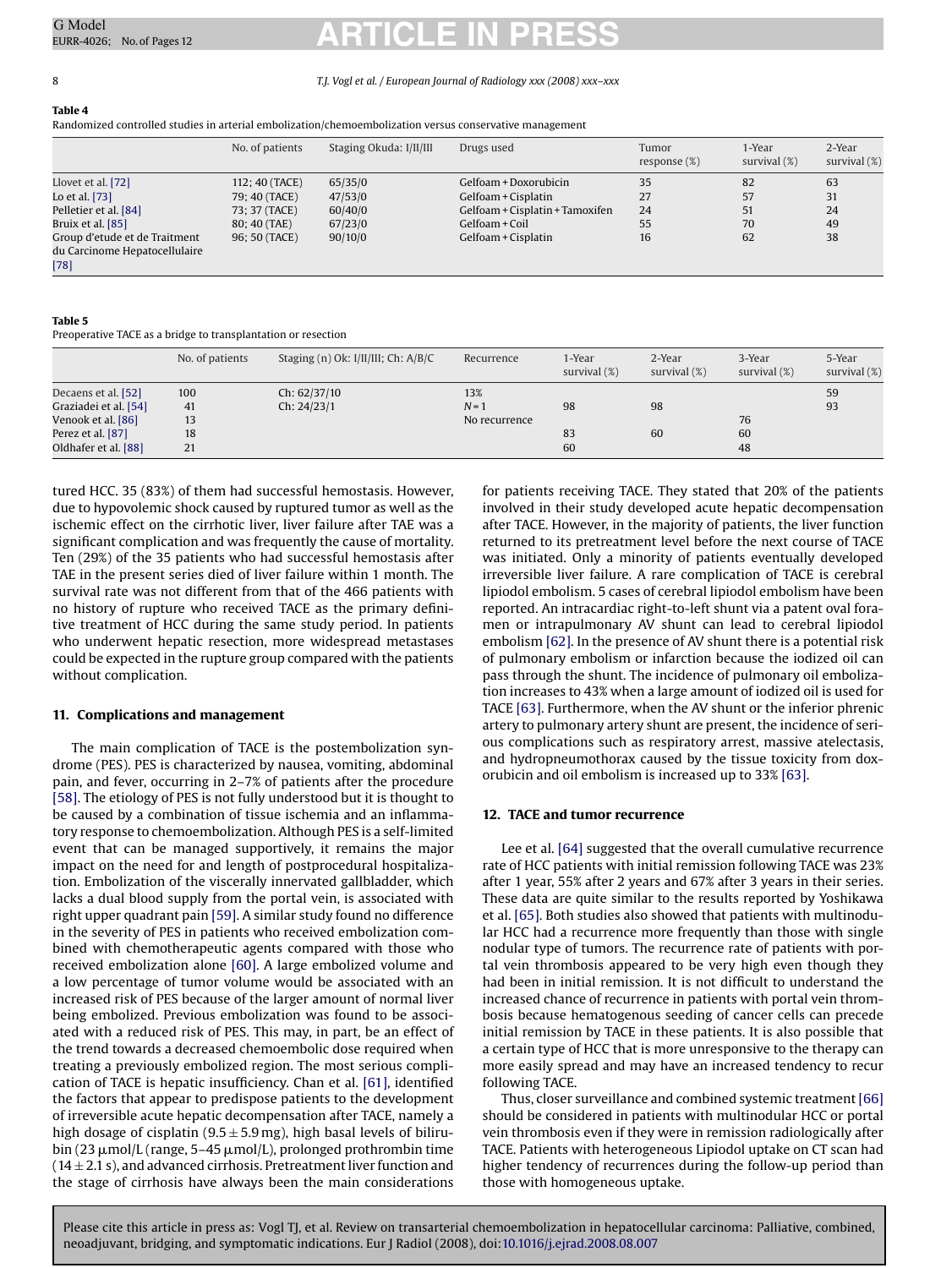#### <span id="page-7-0"></span>8 *T.J. Vogl et al. / European Journal of Radiology xxx (2008) xxx–xxx*

#### **Table 4**

Randomized controlled studies in arterial embolization/chemoembolization versus conservative management

|                               | No. of patients | Staging Okuda: I/II/III | Drugs used                      | Tumor<br>response $(\%)$ | 1-Year<br>survival $(\%)$ | 2-Year<br>survival $(\%)$ |
|-------------------------------|-----------------|-------------------------|---------------------------------|--------------------------|---------------------------|---------------------------|
| Llovet et al. [72]            | 112; 40 (TACE)  | 65/35/0                 | Gelfoam + Doxorubicin           | 35                       | 82                        | 63                        |
| Lo et al. [73]                | 79; 40 (TACE)   | 47/53/0                 | Gelfoam + Cisplatin             | 27                       | 57                        | 31                        |
| Pelletier et al. [84]         | 73; 37 (TACE)   | 60/40/0                 | Gelfoam + Cisplatin + Tamoxifen | 24                       | 51                        | 24                        |
| Bruix et al. [85]             | 80; 40 (TAE)    | 67/23/0                 | Gelfoam + Coil                  | 55                       | 70                        | 49                        |
| Group d'etude et de Traitment | 96; 50 (TACE)   | 90/10/0                 | Gelfoam + Cisplatin             | 16                       | 62                        | 38                        |
| du Carcinome Hepatocellulaire |                 |                         |                                 |                          |                           |                           |
| $[78]$                        |                 |                         |                                 |                          |                           |                           |

#### **Table 5**

Preoperative TACE as a bridge to transplantation or resection

|                       | No. of patients | Staging (n) Ok: I/II/III; Ch: A/B/C | Recurrence    | 1-Year<br>survival (%) | 2-Year<br>survival $(\%)$ | 3-Year<br>survival $(\%)$ | 5-Year<br>survival $(\%)$ |
|-----------------------|-----------------|-------------------------------------|---------------|------------------------|---------------------------|---------------------------|---------------------------|
| Decaens et al. [52]   | 100             | Ch: 62/37/10                        | 13%           |                        |                           |                           | 59                        |
| Graziadei et al. [54] | 41              | Ch: 24/23/1                         | $N=1$         | 98                     | 98                        |                           | 93                        |
| Venook et al. [86]    | 13              |                                     | No recurrence |                        |                           | 76                        |                           |
| Perez et al. [87]     | 18              |                                     |               | 83                     | 60                        | 60                        |                           |
| Oldhafer et al. [88]  | 21              |                                     |               | 60                     |                           | 48                        |                           |

tured HCC. 35 (83%) of them had successful hemostasis. However, due to hypovolemic shock caused by ruptured tumor as well as the ischemic effect on the cirrhotic liver, liver failure after TAE was a significant complication and was frequently the cause of mortality. Ten (29%) of the 35 patients who had successful hemostasis after TAE in the present series died of liver failure within 1 month. The survival rate was not different from that of the 466 patients with no history of rupture who received TACE as the primary definitive treatment of HCC during the same study period. In patients who underwent hepatic resection, more widespread metastases could be expected in the rupture group compared with the patients without complication.

#### **11. Complications and management**

The main complication of TACE is the postembolization syndrome (PES). PES is characterized by nausea, vomiting, abdominal pain, and fever, occurring in 2–7% of patients after the procedure [\[58\]. T](#page-11-0)he etiology of PES is not fully understood but it is thought to be caused by a combination of tissue ischemia and an inflammatory response to chemoembolization. Although PES is a self-limited event that can be managed supportively, it remains the major impact on the need for and length of postprocedural hospitalization. Embolization of the viscerally innervated gallbladder, which lacks a dual blood supply from the portal vein, is associated with right upper quadrant pain [\[59\]. A](#page-11-0) similar study found no difference in the severity of PES in patients who received embolization combined with chemotherapeutic agents compared with those who received embolization alone [\[60\].](#page-11-0) A large embolized volume and a low percentage of tumor volume would be associated with an increased risk of PES because of the larger amount of normal liver being embolized. Previous embolization was found to be associated with a reduced risk of PES. This may, in part, be an effect of the trend towards a decreased chemoembolic dose required when treating a previously embolized region. The most serious complication of TACE is hepatic insufficiency. Chan et al. [\[61\],](#page-11-0) identified the factors that appear to predispose patients to the development of irreversible acute hepatic decompensation after TACE, namely a high dosage of cisplatin ( $9.5 \pm 5.9$  mg), high basal levels of bilirubin (23  $\mu$ mol/L (range, 5–45  $\mu$ mol/L), prolonged prothrombin time  $(14 \pm 2.1 \text{ s})$ , and advanced cirrhosis. Pretreatment liver function and the stage of cirrhosis have always been the main considerations for patients receiving TACE. They stated that 20% of the patients involved in their study developed acute hepatic decompensation after TACE. However, in the majority of patients, the liver function returned to its pretreatment level before the next course of TACE was initiated. Only a minority of patients eventually developed irreversible liver failure. A rare complication of TACE is cerebral lipiodol embolism. 5 cases of cerebral lipiodol embolism have been reported. An intracardiac right-to-left shunt via a patent oval foramen or intrapulmonary AV shunt can lead to cerebral lipiodol embolism [\[62\]. I](#page-11-0)n the presence of AV shunt there is a potential risk of pulmonary embolism or infarction because the iodized oil can pass through the shunt. The incidence of pulmonary oil embolization increases to 43% when a large amount of iodized oil is used for TACE [\[63\]. F](#page-11-0)urthermore, when the AV shunt or the inferior phrenic artery to pulmonary artery shunt are present, the incidence of serious complications such as respiratory arrest, massive atelectasis, and hydropneumothorax caused by the tissue toxicity from doxorubicin and oil embolism is increased up to 33% [\[63\].](#page-11-0)

#### **12. TACE and tumor recurrence**

Lee et al. [\[64\]](#page-11-0) suggested that the overall cumulative recurrence rate of HCC patients with initial remission following TACE was 23% after 1 year, 55% after 2 years and 67% after 3 years in their series. These data are quite similar to the results reported by Yoshikawa et al. [\[65\]. B](#page-11-0)oth studies also showed that patients with multinodular HCC had a recurrence more frequently than those with single nodular type of tumors. The recurrence rate of patients with portal vein thrombosis appeared to be very high even though they had been in initial remission. It is not difficult to understand the increased chance of recurrence in patients with portal vein thrombosis because hematogenous seeding of cancer cells can precede initial remission by TACE in these patients. It is also possible that a certain type of HCC that is more unresponsive to the therapy can more easily spread and may have an increased tendency to recur following TACE.

Thus, closer surveillance and combined systemic treatment [\[66\]](#page-11-0) should be considered in patients with multinodular HCC or portal vein thrombosis even if they were in remission radiologically after TACE. Patients with heterogeneous Lipiodol uptake on CT scan had higher tendency of recurrences during the follow-up period than those with homogeneous uptake.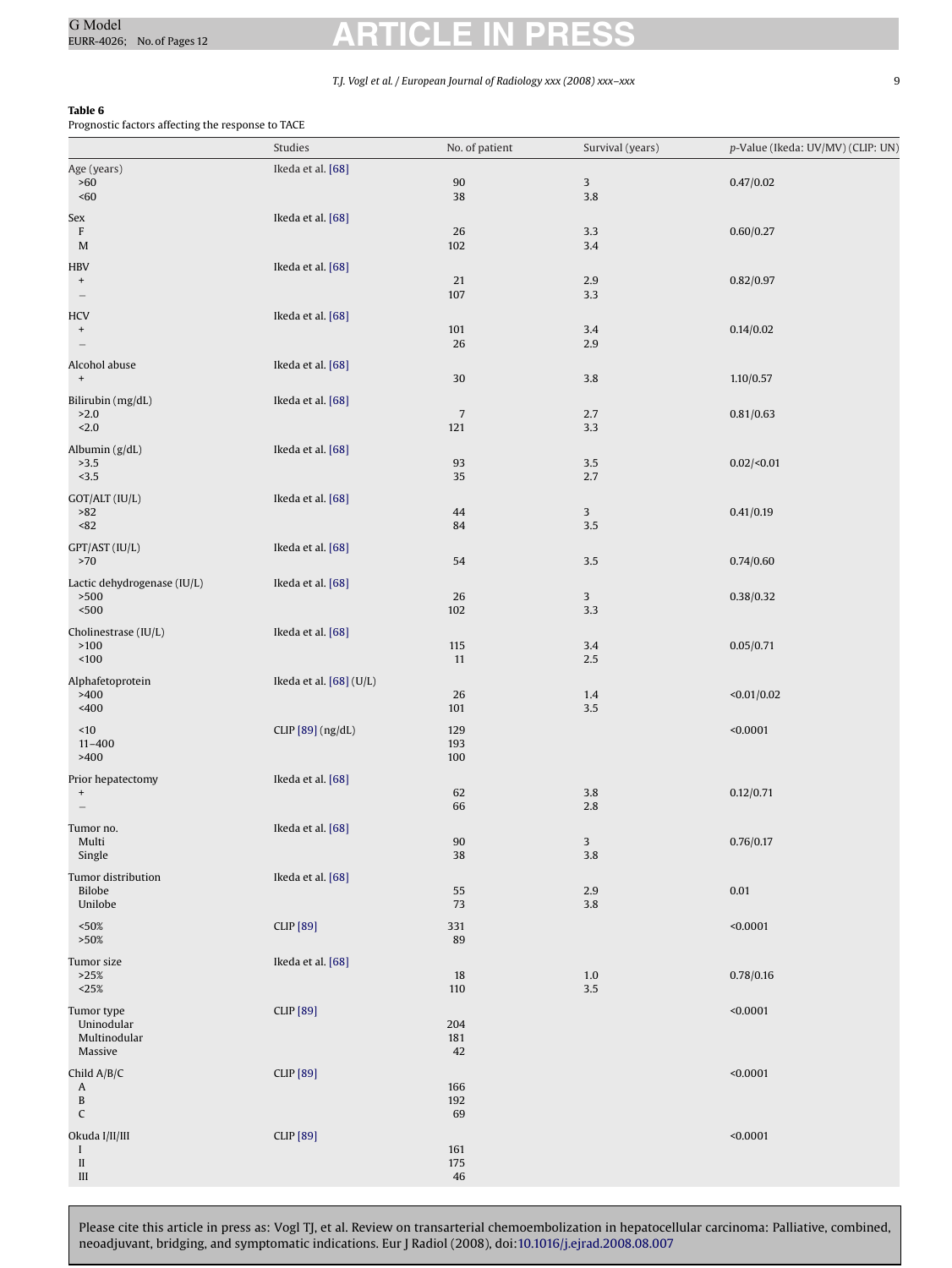### *T.J. Vogl et al. / European Journal of Radiology xxx (2008) xxx–xxx* 9

### <span id="page-8-0"></span>**Table 6**

Prognostic factors affecting the response to TACE

|                                  | Studies                 | No. of patient | Survival (years) | p-Value (Ikeda: UV/MV) (CLIP: UN |
|----------------------------------|-------------------------|----------------|------------------|----------------------------------|
| Age (years)                      | Ikeda et al. [68]       |                |                  |                                  |
| >60                              |                         | 90             | 3                | 0.47/0.02                        |
| $<\!\!60$                        |                         | 38             | 3.8              |                                  |
| Sex                              | Ikeda et al. [68]       |                |                  |                                  |
| $\mathsf F$<br>M                 |                         | 26<br>102      | 3.3<br>3.4       | 0.60/0.27                        |
|                                  |                         |                |                  |                                  |
| <b>HBV</b><br>$^{\mathrm{+}}$    | Ikeda et al. [68]       | 21             | 2.9              | 0.82/0.97                        |
| $\overline{\phantom{a}}$         |                         | 107            | 3.3              |                                  |
| HCV                              | Ikeda et al. [68]       |                |                  |                                  |
| $\begin{array}{c} + \end{array}$ |                         | 101            | 3.4              | 0.14/0.02                        |
| $\overline{\phantom{0}}$         |                         | 26             | 2.9              |                                  |
| Alcohol abuse                    | Ikeda et al. [68]       |                |                  |                                  |
| $^{\mathrm{+}}$                  |                         | 30             | 3.8              | 1.10/0.57                        |
| Bilirubin (mg/dL)                | Ikeda et al. [68]       |                |                  |                                  |
| >2.0                             |                         | $\overline{7}$ | 2.7              | 0.81/0.63                        |
| 2.0                              |                         | 121            | 3.3              |                                  |
| Albumin (g/dL)                   | Ikeda et al. [68]       |                |                  |                                  |
| >3.5<br>< 3.5                    |                         | 93<br>35       | 3.5<br>2.7       | 0.02 / 0.01                      |
|                                  |                         |                |                  |                                  |
| GOT/ALT (IU/L)<br>>82            | Ikeda et al. [68]       | 44             | 3                | 0.41/0.19                        |
| $<\!\!82$                        |                         | 84             | 3.5              |                                  |
| GPT/AST (IU/L)                   | Ikeda et al. [68]       |                |                  |                                  |
| >70                              |                         | 54             | 3.5              | 0.74/0.60                        |
| Lactic dehydrogenase (IU/L)      | Ikeda et al. [68]       |                |                  |                                  |
| $>500$                           |                         | 26             | 3                | 0.38/0.32                        |
| $<$ 500 $\,$                     |                         | 102            | 3.3              |                                  |
| Cholinestrase (IU/L)             | Ikeda et al. [68]       |                |                  |                                  |
| >100                             |                         | 115            | 3.4              | 0.05/0.71                        |
| $100$                            |                         | 11             | 2.5              |                                  |
| Alphafetoprotein                 | Ikeda et al. [68] (U/L) |                |                  |                                  |
| >400<br>< 400                    |                         | 26<br>101      | 1.4<br>3.5       | <0.01/0.02                       |
|                                  |                         |                |                  |                                  |
| ~10<br>$11 - 400$                | CLIP [89] (ng/dL)       | 129<br>193     |                  | < 0.0001                         |
| $>400$                           |                         | 100            |                  |                                  |
| Prior hepatectomy                | Ikeda et al. [68]       |                |                  |                                  |
| $\begin{array}{c} + \end{array}$ |                         | 62             | 3.8              | 0.12/0.71                        |
|                                  |                         | 66             | 2.8              |                                  |
| Tumor no.                        | Ikeda et al. [68]       |                |                  |                                  |
| Multi                            |                         | 90             | 3                | 0.76/0.17                        |
| Single                           |                         | 38             | 3.8              |                                  |
| Tumor distribution               | Ikeda et al. [68]       |                |                  |                                  |
| Bilobe<br>Unilobe                |                         | 55<br>73       | 2.9<br>$3.8\,$   | 0.01                             |
|                                  |                         |                |                  |                                  |
| $< 50\%$<br>>50%                 | <b>CLIP</b> [89]        | 331<br>89      |                  | < 0.0001                         |
|                                  |                         |                |                  |                                  |
| Tumor size<br>>25%               | Ikeda et al. [68]       | 18             | 1.0              | 0.78/0.16                        |
| <25%                             |                         | 110            | 3.5              |                                  |
| Tumor type                       | <b>CLIP</b> [89]        |                |                  | < 0.0001                         |
| Uninodular                       |                         | 204            |                  |                                  |
| Multinodular                     |                         | 181            |                  |                                  |
| Massive                          |                         | 42             |                  |                                  |
| Child A/B/C                      | <b>CLIP</b> [89]        |                |                  | < 0.0001                         |
| A<br>B                           |                         | 166<br>192     |                  |                                  |
| C                                |                         | 69             |                  |                                  |
| Okuda I/II/III                   | <b>CLIP</b> [89]        |                |                  | < 0.0001                         |
| $\bf{I}$                         |                         | 161            |                  |                                  |
| $\rm II$                         |                         | 175            |                  |                                  |
| III                              |                         | 46             |                  |                                  |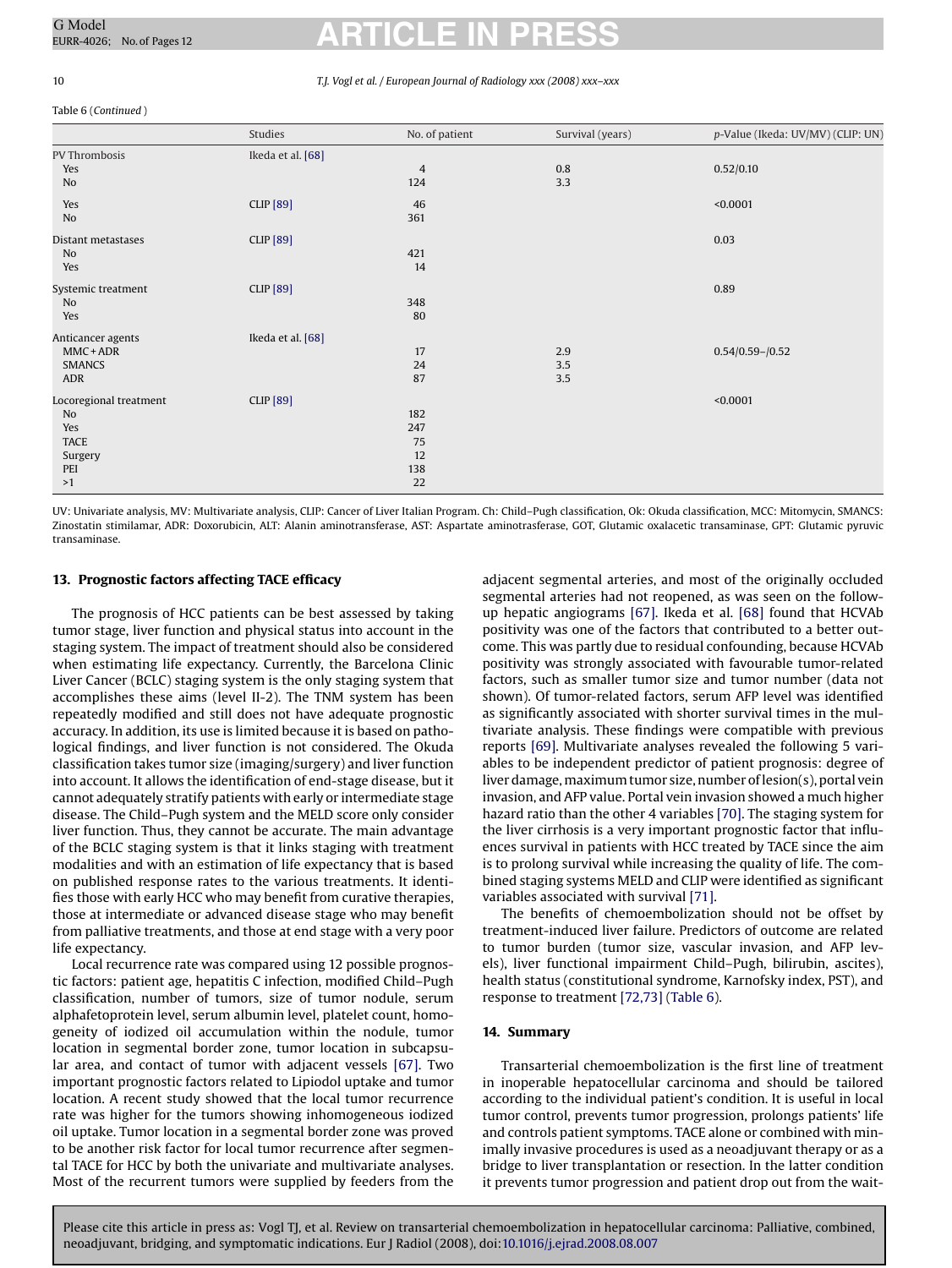#### 10 *T.J. Vogl et al. / European Journal of Radiology xxx (2008) xxx–xxx*

Table 6 (*Continued* )

|                        | Studies           | No. of patient | Survival (years) | p-Value (Ikeda: UV/MV) (CLIP: UN) |
|------------------------|-------------------|----------------|------------------|-----------------------------------|
| PV Thrombosis          | Ikeda et al. [68] |                |                  |                                   |
| Yes                    |                   | $\overline{4}$ | 0.8              | 0.52/0.10                         |
| No                     |                   | 124            | 3.3              |                                   |
| Yes                    | <b>CLIP</b> [89]  | 46             |                  | < 0.0001                          |
| No                     |                   | 361            |                  |                                   |
| Distant metastases     | <b>CLIP</b> [89]  |                |                  | 0.03                              |
| No                     |                   | 421            |                  |                                   |
| Yes                    |                   | 14             |                  |                                   |
| Systemic treatment     | <b>CLIP</b> [89]  |                |                  | 0.89                              |
| No                     |                   | 348            |                  |                                   |
| Yes                    |                   | 80             |                  |                                   |
| Anticancer agents      | Ikeda et al. [68] |                |                  |                                   |
| $MMC + ADR$            |                   | 17             | 2.9              | $0.54/0.59 - 0.52$                |
| <b>SMANCS</b>          |                   | 24             | 3.5              |                                   |
| ADR                    |                   | 87             | 3.5              |                                   |
| Locoregional treatment | <b>CLIP</b> [89]  |                |                  | < 0.0001                          |
| No                     |                   | 182            |                  |                                   |
| Yes                    |                   | 247            |                  |                                   |
| <b>TACE</b>            |                   | 75             |                  |                                   |
| Surgery                |                   | 12             |                  |                                   |
| PEI                    |                   | 138            |                  |                                   |
| >1                     |                   | 22             |                  |                                   |

UV: Univariate analysis, MV: Multivariate analysis, CLIP: Cancer of Liver Italian Program. Ch: Child–Pugh classification, Ok: Okuda classification, MCC: Mitomycin, SMANCS: Zinostatin stimilamar, ADR: Doxorubicin, ALT: Alanin aminotransferase, AST: Aspartate aminotrasferase, GOT, Glutamic oxalacetic transaminase, GPT: Glutamic pyruvic transaminase.

### **13. Prognostic factors affecting TACE efficacy**

The prognosis of HCC patients can be best assessed by taking tumor stage, liver function and physical status into account in the staging system. The impact of treatment should also be considered when estimating life expectancy. Currently, the Barcelona Clinic Liver Cancer (BCLC) staging system is the only staging system that accomplishes these aims (level II-2). The TNM system has been repeatedly modified and still does not have adequate prognostic accuracy. In addition, its use is limited because it is based on pathological findings, and liver function is not considered. The Okuda classification takes tumor size (imaging/surgery) and liver function into account. It allows the identification of end-stage disease, but it cannot adequately stratify patients with early or intermediate stage disease. The Child–Pugh system and the MELD score only consider liver function. Thus, they cannot be accurate. The main advantage of the BCLC staging system is that it links staging with treatment modalities and with an estimation of life expectancy that is based on published response rates to the various treatments. It identifies those with early HCC who may benefit from curative therapies, those at intermediate or advanced disease stage who may benefit from palliative treatments, and those at end stage with a very poor life expectancy.

Local recurrence rate was compared using 12 possible prognostic factors: patient age, hepatitis C infection, modified Child–Pugh classification, number of tumors, size of tumor nodule, serum alphafetoprotein level, serum albumin level, platelet count, homogeneity of iodized oil accumulation within the nodule, tumor location in segmental border zone, tumor location in subcapsular area, and contact of tumor with adjacent vessels [\[67\].](#page-11-0) Two important prognostic factors related to Lipiodol uptake and tumor location. A recent study showed that the local tumor recurrence rate was higher for the tumors showing inhomogeneous iodized oil uptake. Tumor location in a segmental border zone was proved to be another risk factor for local tumor recurrence after segmental TACE for HCC by both the univariate and multivariate analyses. Most of the recurrent tumors were supplied by feeders from the

adjacent segmental arteries, and most of the originally occluded segmental arteries had not reopened, as was seen on the followup hepatic angiograms [\[67\].](#page-11-0) Ikeda et al. [\[68\]](#page-11-0) found that HCVAb positivity was one of the factors that contributed to a better outcome. This was partly due to residual confounding, because HCVAb positivity was strongly associated with favourable tumor-related factors, such as smaller tumor size and tumor number (data not shown). Of tumor-related factors, serum AFP level was identified as significantly associated with shorter survival times in the multivariate analysis. These findings were compatible with previous reports [\[69\]. M](#page-11-0)ultivariate analyses revealed the following 5 variables to be independent predictor of patient prognosis: degree of liver damage, maximum tumor size, number of lesion(s), portal vein invasion, and AFP value. Portal vein invasion showed a much higher hazard ratio than the other 4 variables [\[70\]. T](#page-11-0)he staging system for the liver cirrhosis is a very important prognostic factor that influences survival in patients with HCC treated by TACE since the aim is to prolong survival while increasing the quality of life. The combined staging systems MELD and CLIP were identified as significant variables associated with survival [\[71\].](#page-11-0)

The benefits of chemoembolization should not be offset by treatment-induced liver failure. Predictors of outcome are related to tumor burden (tumor size, vascular invasion, and AFP levels), liver functional impairment Child–Pugh, bilirubin, ascites), health status (constitutional syndrome, Karnofsky index, PST), and response to treatment [\[72,73\]](#page-11-0) ([Table 6\).](#page-8-0)

### **14. Summary**

Transarterial chemoembolization is the first line of treatment in inoperable hepatocellular carcinoma and should be tailored according to the individual patient's condition. It is useful in local tumor control, prevents tumor progression, prolongs patients' life and controls patient symptoms. TACE alone or combined with minimally invasive procedures is used as a neoadjuvant therapy or as a bridge to liver transplantation or resection. In the latter condition it prevents tumor progression and patient drop out from the wait-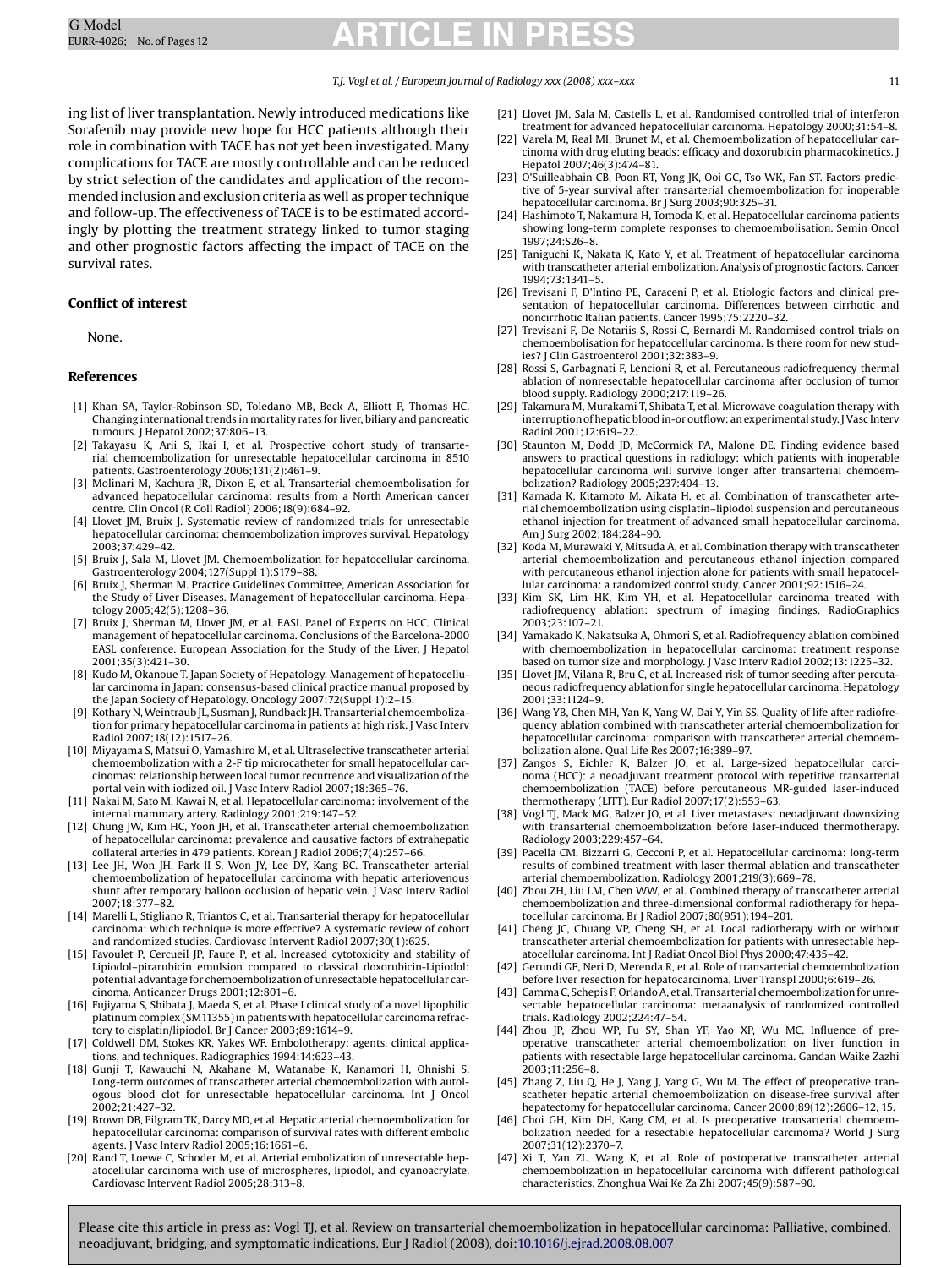#### *T.J. Vogl et al. / European Journal of Radiology xxx (2008) xxx–xxx* 11

<span id="page-10-0"></span>ing list of liver transplantation. Newly introduced medications like Sorafenib may provide new hope for HCC patients although their role in combination with TACE has not yet been investigated. Many complications for TACE are mostly controllable and can be reduced by strict selection of the candidates and application of the recommended inclusion and exclusion criteria as well as proper technique and follow-up. The effectiveness of TACE is to be estimated accordingly by plotting the treatment strategy linked to tumor staging and other prognostic factors affecting the impact of TACE on the survival rates.

#### **Conflict of interest**

None.

#### **References**

- [1] Khan SA, Taylor-Robinson SD, Toledano MB, Beck A, Elliott P, Thomas HC. Changing international trends in mortality rates for liver, biliary and pancreatic tumours. J Hepatol 2002;37:806–13.
- [2] Takayasu K, Arii S, Ikai I, et al. Prospective cohort study of transarterial chemoembolization for unresectable hepatocellular carcinoma in 8510 patients. Gastroenterology 2006;131(2):461–9.
- [3] Molinari M, Kachura JR, Dixon E, et al. Transarterial chemoembolisation for advanced hepatocellular carcinoma: results from a North American cancer centre. Clin Oncol (R Coll Radiol) 2006;18(9):684–92.
- [4] Llovet JM, Bruix J. Systematic review of randomized trials for unresectable hepatocellular carcinoma: chemoembolization improves survival. Hepatology 2003;37:429–42.
- [5] Bruix J, Sala M, Llovet JM. Chemoembolization for hepatocellular carcinoma. Gastroenterology 2004;127(Suppl 1):S179–88.
- [6] Bruix J, Sherman M. Practice Guidelines Committee, American Association for the Study of Liver Diseases. Management of hepatocellular carcinoma. Hepatology 2005;42(5):1208–36.
- [7] Bruix J, Sherman M, Llovet JM, et al. EASL Panel of Experts on HCC. Clinical management of hepatocellular carcinoma. Conclusions of the Barcelona-2000 EASL conference. European Association for the Study of the Liver. J Hepatol 2001;35(3):421–30.
- [8] Kudo M, Okanoue T. Japan Society of Hepatology. Management of hepatocellular carcinoma in Japan: consensus-based clinical practice manual proposed by the Japan Society of Hepatology. Oncology 2007;72(Suppl 1):2–15.
- [9] Kothary N,Weintraub JL, Susman J, Rundback JH. Transarterial chemoembolization for primary hepatocellular carcinoma in patients at high risk. J Vasc Interv Radiol 2007;18(12):1517–26.
- [10] Miyayama S, Matsui O, Yamashiro M, et al. Ultraselective transcatheter arterial chemoembolization with a 2-F tip microcatheter for small hepatocellular carcinomas: relationship between local tumor recurrence and visualization of the portal vein with iodized oil. J Vasc Interv Radiol 2007;18:365–76.
- [11] Nakai M, Sato M, Kawai N, et al. Hepatocellular carcinoma: involvement of the internal mammary artery. Radiology 2001;219:147–52.
- [12] Chung JW, Kim HC, Yoon JH, et al. Transcatheter arterial chemoembolization of hepatocellular carcinoma: prevalence and causative factors of extrahepatic collateral arteries in 479 patients. Korean J Radiol 2006;7(4):257–66.
- [13] Lee JH, Won JH, Park II S, Won JY, Lee DY, Kang BC. Transcatheter arterial chemoembolization of hepatocellular carcinoma with hepatic arteriovenous shunt after temporary balloon occlusion of hepatic vein. J Vasc Interv Radiol 2007;18:377–82.
- [14] Marelli L, Stigliano R, Triantos C, et al. Transarterial therapy for hepatocellular carcinoma: which technique is more effective? A systematic review of cohort and randomized studies. Cardiovasc Intervent Radiol 2007;30(1):625.
- [15] Favoulet P, Cercueil JP, Faure P, et al. Increased cytotoxicity and stability of Lipiodol–pirarubicin emulsion compared to classical doxorubicin-Lipiodol: potential advantage for chemoembolization of unresectable hepatocellular carcinoma. Anticancer Drugs 2001;12:801–6.
- [16] Fujiyama S, Shibata J, Maeda S, et al. Phase I clinical study of a novel lipophilic platinum complex (SM11355) in patients with hepatocellular carcinoma refractory to cisplatin/lipiodol. Br J Cancer 2003;89:1614–9.
- [17] Coldwell DM, Stokes KR, Yakes WF. Embolotherapy: agents, clinical applications, and techniques. Radiographics 1994;14:623–43.
- [18] Gunji T, Kawauchi N, Akahane M, Watanabe K, Kanamori H, Ohnishi S. Long-term outcomes of transcatheter arterial chemoembolization with autologous blood clot for unresectable hepatocellular carcinoma. Int J Oncol 2002;21:427–32.
- [19] Brown DB, Pilgram TK, Darcy MD, et al. Hepatic arterial chemoembolization for hepatocellular carcinoma: comparison of survival rates with different embolic agents. J Vasc Interv Radiol 2005;16:1661–6.
- [20] Rand T, Loewe C, Schoder M, et al. Arterial embolization of unresectable hepatocellular carcinoma with use of microspheres, lipiodol, and cyanoacrylate. Cardiovasc Intervent Radiol 2005;28:313–8.
- [21] Llovet JM, Sala M, Castells L, et al. Randomised controlled trial of interferon treatment for advanced hepatocellular carcinoma. Hepatology 2000;31:54–8.
- [22] Varela M, Real MI, Brunet M, et al. Chemoembolization of hepatocellular carcinoma with drug eluting beads: efficacy and doxorubicin pharmacokinetics. J Hepatol 2007;46(3):474–81.
- [23] O'Suilleabhain CB, Poon RT, Yong JK, Ooi GC, Tso WK, Fan ST. Factors predictive of 5-year survival after transarterial chemoembolization for inoperable hepatocellular carcinoma. Br J Surg 2003;90:325–31.
- [24] Hashimoto T, Nakamura H, Tomoda K, et al. Hepatocellular carcinoma patients showing long-term complete responses to chemoembolisation. Semin Oncol 1997;24:S26–8.
- [25] Taniguchi K, Nakata K, Kato Y, et al. Treatment of hepatocellular carcinoma with transcatheter arterial embolization. Analysis of prognostic factors. Cancer 1994;73:1341–5.
- [26] Trevisani F, D'Intino PE, Caraceni P, et al. Etiologic factors and clinical presentation of hepatocellular carcinoma. Differences between cirrhotic and noncirrhotic Italian patients. Cancer 1995;75:2220–32.
- [27] Trevisani F, De Notariis S, Rossi C, Bernardi M. Randomised control trials on chemoembolisation for hepatocellular carcinoma. Is there room for new studies? J Clin Gastroenterol 2001;32:383–9.
- [28] Rossi S, Garbagnati F, Lencioni R, et al. Percutaneous radiofrequency thermal ablation of nonresectable hepatocellular carcinoma after occlusion of tumor blood supply. Radiology 2000;217:119–26.
- [29] Takamura M, Murakami T, Shibata T, et al. Microwave coagulation therapy with interruption of hepatic blood in-or outflow: an experimental study. J Vasc Interv Radiol 2001;12:619–22.
- [30] Staunton M, Dodd JD, McCormick PA, Malone DE. Finding evidence based answers to practical questions in radiology: which patients with inoperable hepatocellular carcinoma will survive longer after transarterial chemoembolization? Radiology 2005;237:404–13.
- [31] Kamada K, Kitamoto M, Aikata H, et al. Combination of transcatheter arterial chemoembolization using cisplatin–lipiodol suspension and percutaneous ethanol injection for treatment of advanced small hepatocellular carcinoma. Am J Surg 2002;184:284–90.
- [32] Koda M, Murawaki Y, Mitsuda A, et al. Combination therapy with transcatheter arterial chemoembolization and percutaneous ethanol injection compared with percutaneous ethanol injection alone for patients with small hepatocellular carcinoma: a randomized control study. Cancer 2001;92:1516–24.
- [33] Kim SK, Lim HK, Kim YH, et al. Hepatocellular carcinoma treated with radiofrequency ablation: spectrum of imaging findings. RadioGraphics 2003;23:107–21.
- [34] Yamakado K, Nakatsuka A, Ohmori S, et al. Radiofrequency ablation combined with chemoembolization in hepatocellular carcinoma: treatment response based on tumor size and morphology. J Vasc Interv Radiol 2002;13:1225–32.
- [35] Llovet JM, Vilana R, Bru C, et al. Increased risk of tumor seeding after percutaneous radiofrequency ablation for single hepatocellular carcinoma. Hepatology 2001;33:1124–9.
- [36] Wang YB, Chen MH, Yan K, Yang W, Dai Y, Yin SS. Quality of life after radiofrequency ablation combined with transcatheter arterial chemoembolization for hepatocellular carcinoma: comparison with transcatheter arterial chemoembolization alone. Qual Life Res 2007;16:389–97.
- [37] Zangos S, Eichler K, Balzer JO, et al. Large-sized hepatocellular carcinoma (HCC): a neoadjuvant treatment protocol with repetitive transarterial chemoembolization (TACE) before percutaneous MR-guided laser-induced thermotherapy (LITT). Eur Radiol 2007;17(2):553–63.
- [38] Vogl TJ, Mack MG, Balzer JO, et al. Liver metastases: neoadjuvant downsizing with transarterial chemoembolization before laser-induced thermotherapy. Radiology 2003;229:457–64.
- [39] Pacella CM, Bizzarri G, Cecconi P, et al. Hepatocellular carcinoma: long-term results of combined treatment with laser thermal ablation and transcatheter arterial chemoembolization. Radiology 2001;219(3):669–78.
- [40] Zhou ZH, Liu LM, Chen WW, et al. Combined therapy of transcatheter arterial chemoembolization and three-dimensional conformal radiotherapy for hepatocellular carcinoma. Br J Radiol 2007;80(951):194–201.
- [41] Cheng JC, Chuang VP, Cheng SH, et al. Local radiotherapy with or without transcatheter arterial chemoembolization for patients with unresectable hepatocellular carcinoma. Int J Radiat Oncol Biol Phys 2000;47:435–42.
- [42] Gerundi GE, Neri D, Merenda R, et al. Role of transarterial chemoembolization before liver resection for hepatocarcinoma. Liver Transpl 2000;6:619–26.
- [43] Camma C, Schepis F, Orlando A, et al. Transarterial chemoembolization for unresectable hepatocellular carcinoma: metaanalysis of randomized controlled trials. Radiology 2002;224:47–54.
- [44] Zhou JP, Zhou WP, Fu SY, Shan YF, Yao XP, Wu MC. Influence of preoperative transcatheter arterial chemoembolization on liver function in patients with resectable large hepatocellular carcinoma. Gandan Waike Zazhi 2003;11:256–8.
- [45] Zhang Z, Liu Q, He J, Yang J, Yang G, Wu M. The effect of preoperative transcatheter hepatic arterial chemoembolization on disease-free survival after hepatectomy for hepatocellular carcinoma. Cancer 2000;89(12):2606–12, 15.
- [46] Choi GH, Kim DH, Kang CM, et al. Is preoperative transarterial chemoembolization needed for a resectable hepatocellular carcinoma? World J Surg 2007;31(12):2370–7.
- [47] Xi T, Yan ZL, Wang K, et al. Role of postoperative transcatheter arterial chemoembolization in hepatocellular carcinoma with different pathological characteristics. Zhonghua Wai Ke Za Zhi 2007;45(9):587–90.